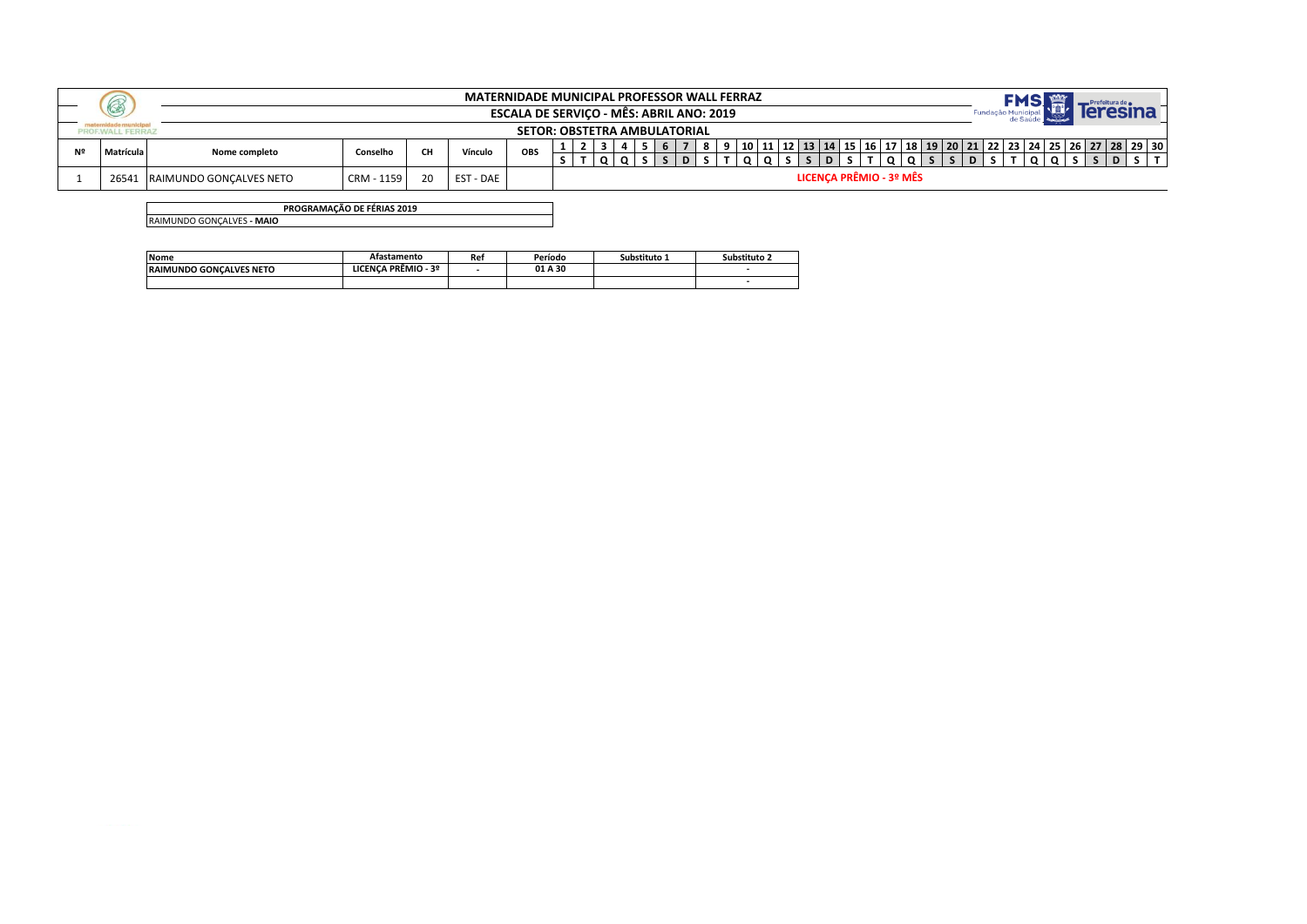|    | (CE)      |                                |            |    | <b>MATERNIDADE MUNICIPAL PROFESSOR WALL FERRAZ</b> | ESCALA DE SERVIÇO - MÊS: ABRIL ANO: 2019 |  |  |  |  |  |                         |  |  |  |  |  |  |                                                                                                        |
|----|-----------|--------------------------------|------------|----|----------------------------------------------------|------------------------------------------|--|--|--|--|--|-------------------------|--|--|--|--|--|--|--------------------------------------------------------------------------------------------------------|
|    |           |                                |            |    |                                                    | <b>SETOR: OBSTETRA AMBULATORIAL</b>      |  |  |  |  |  |                         |  |  |  |  |  |  |                                                                                                        |
| Nº | Matrícula | Nome completo                  | Conselho   | CН | Vínculo                                            | OBS                                      |  |  |  |  |  |                         |  |  |  |  |  |  | 10   11   12   13   14   15   16   17   18   19   20   21   22   23   24   25   26   27   28   29   30 |
|    |           |                                |            |    |                                                    |                                          |  |  |  |  |  |                         |  |  |  |  |  |  |                                                                                                        |
|    | 26541     | <b>RAIMUNDO GONCALVES NETO</b> | CRM - 1159 |    | <b>EST - DAE</b>                                   |                                          |  |  |  |  |  | LICENCA PRÊMIO - 3º MÊS |  |  |  |  |  |  |                                                                                                        |

**PROGRAMAÇÃO DE FÉRIAS 2019** RAIMUNDO GONÇALVES **- MAIO**

| <b>Nome</b>                    | Atastamento         | Ret | Período | Substituto 1 | Substituto 2 |
|--------------------------------|---------------------|-----|---------|--------------|--------------|
| <b>RAIMUNDO GONCALVES NETO</b> | LICENCA PRÊMIO - 3º |     | 01 A 30 |              |              |
|                                |                     |     |         |              |              |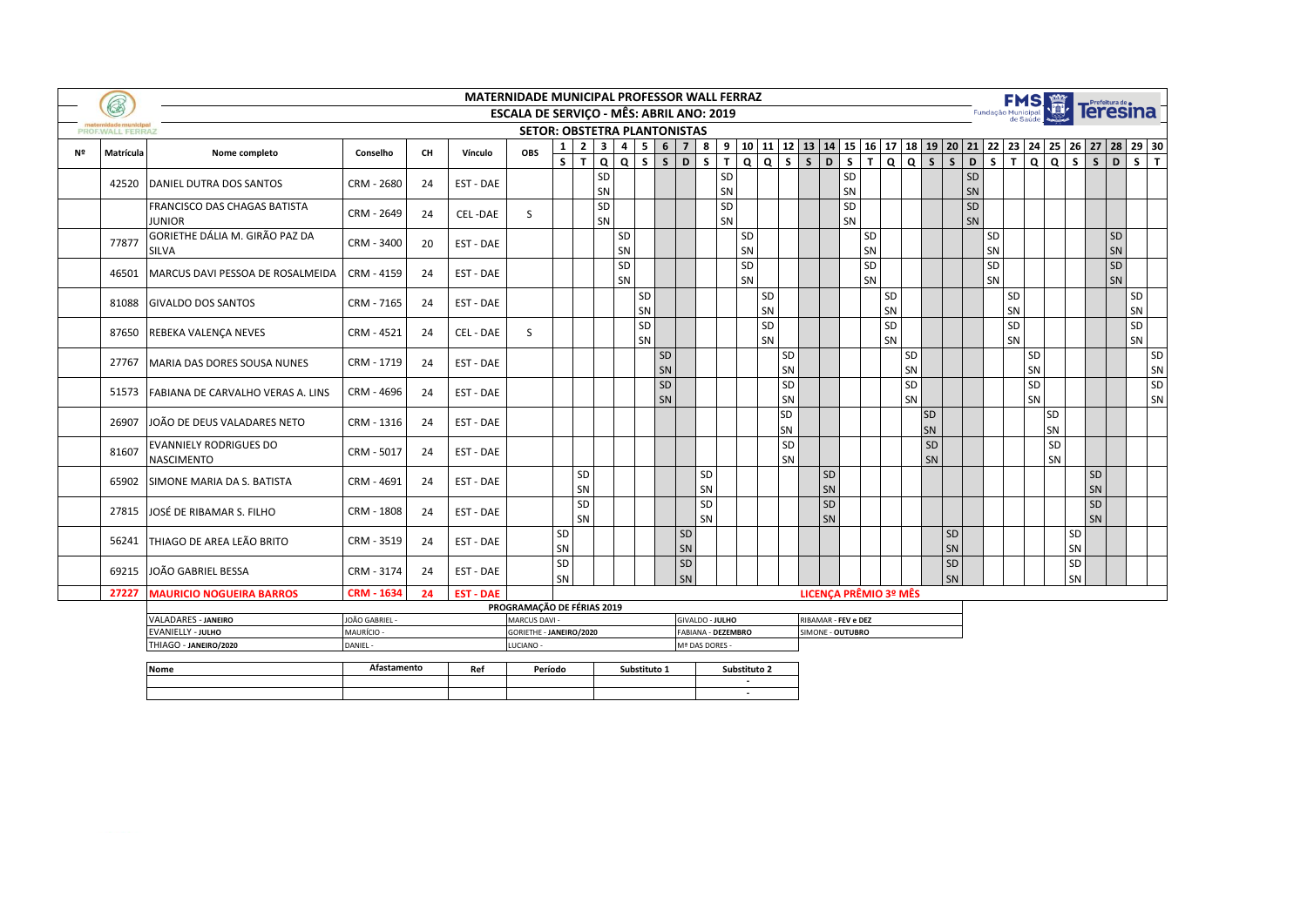|    | B                |                                                    |                        |    |                  | MATERNIDADE MUNICIPAL PROFESSOR WALL FERRAZ     |              |                |                         |                   |                 |            |                        |                    |                |          |                          |                              |                         |                |                         |          |                 |                                |                         |                | <b>FMS 篇</b>            |                         |                         |                         |                                                                |          |
|----|------------------|----------------------------------------------------|------------------------|----|------------------|-------------------------------------------------|--------------|----------------|-------------------------|-------------------|-----------------|------------|------------------------|--------------------|----------------|----------|--------------------------|------------------------------|-------------------------|----------------|-------------------------|----------|-----------------|--------------------------------|-------------------------|----------------|-------------------------|-------------------------|-------------------------|-------------------------|----------------------------------------------------------------|----------|
|    |                  |                                                    |                        |    |                  | <b>ESCALA DE SERVIÇO - MÊS: ABRIL ANO: 2019</b> |              |                |                         |                   |                 |            |                        |                    |                |          |                          |                              |                         |                |                         |          |                 |                                | Fundação Municipal      |                |                         |                         |                         |                         | Teresina                                                       |          |
|    | PROF.WALL FERRAZ |                                                    |                        |    |                  | <b>SETOR: OBSTETRA PLANTONISTAS</b>             |              |                |                         |                   |                 |            |                        |                    |                |          |                          |                              |                         |                |                         |          |                 |                                |                         |                |                         |                         |                         |                         |                                                                |          |
| Nº | Matrícula        | Nome completo                                      | Conselho               | CH | Vínculo          | OBS                                             | 1            | 2 <sup>1</sup> | $\overline{\mathbf{3}}$ | $4 \mid 5$        | $6\overline{6}$ | $7 \mid 8$ |                        | 9                  |                |          | 10 11 12 13 14 15 16 17  |                              |                         |                |                         |          |                 |                                |                         |                |                         |                         |                         |                         | 18   19   20   21   22   23   24   25   26   27   28   29   30 |          |
|    |                  |                                                    |                        |    |                  |                                                 | $\mathsf{s}$ | T.             | $\Omega$                | $\mathsf{s}$<br>Q | $\mathsf{S}$    | D          | $\mathsf{s}$           | $\mathbf{T}$       | $\overline{Q}$ | $Q$ s    | $\overline{\phantom{a}}$ | $\mathbf{D}$                 | $\overline{\mathsf{s}}$ | $\overline{t}$ | $\overline{\mathsf{a}}$ | $Q$ $S$  |                 | $\overline{D}$<br>$\mathsf{s}$ | $\overline{\mathsf{s}}$ | $\blacksquare$ | $\overline{\mathsf{a}}$ | $\overline{\mathsf{a}}$ | $\overline{\mathsf{s}}$ | $\overline{\mathsf{s}}$ | $\overline{D}$                                                 | $S$ T    |
|    | 42520            | DANIEL DUTRA DOS SANTOS                            | CRM - 2680             | 24 | EST - DAE        |                                                 |              |                | <b>SD</b><br>SN         |                   |                 |            |                        | SD<br>SN           |                |          |                          |                              | SD<br>SN                |                |                         |          |                 |                                | SD<br>SN                |                |                         |                         |                         |                         |                                                                |          |
|    |                  | FRANCISCO DAS CHAGAS BATISTA<br><b>JUNIOR</b>      | CRM - 2649             | 24 | CEL-DAE          | <sub>S</sub>                                    |              |                | SD<br>SN                |                   |                 |            |                        | SD<br>SN           |                |          |                          |                              | SD<br>SN                |                |                         |          |                 | SD<br>SN                       |                         |                |                         |                         |                         |                         |                                                                |          |
|    | 77877            | GORIETHE DÁLIA M. GIRÃO PAZ DA<br><b>SILVA</b>     | CRM - 3400             | 20 | EST - DAE        |                                                 |              |                | SD<br>SN                |                   |                 |            |                        |                    | SD<br>SN       |          |                          |                              |                         | SD<br>SN       |                         |          |                 |                                | SD<br>SN                |                |                         |                         |                         |                         | <b>SD</b><br>SN                                                |          |
|    | 46501            | MARCUS DAVI PESSOA DE ROSALMEIDA                   | CRM - 4159             | 24 | EST - DAE        |                                                 |              |                | SD<br>SN                |                   |                 |            |                        |                    | SD<br>SN       |          |                          |                              |                         | SD<br>SN       |                         |          |                 |                                | SD<br>SN                |                |                         |                         |                         |                         | SD<br>SN                                                       |          |
|    | 81088            | <b>GIVALDO DOS SANTOS</b>                          | CRM - 7165             | 24 | EST - DAE        |                                                 |              |                |                         | SD<br>SN          |                 |            |                        |                    |                | SD<br>SN |                          |                              |                         |                | SD<br>SN                |          |                 |                                |                         | SD<br>SN       |                         |                         |                         |                         | SD<br>SN                                                       |          |
|    |                  | 87650 REBEKA VALENÇA NEVES                         | CRM - 4521             | 24 | CEL - DAE        | S                                               |              |                |                         | SD<br>SN          |                 |            |                        |                    |                | SD<br>SN |                          |                              |                         |                | SD<br>SN                |          |                 |                                |                         | SD<br>SN       |                         |                         |                         |                         | SD<br>SN                                                       |          |
|    | 27767            | MARIA DAS DORES SOUSA NUNES                        | CRM - 1719             | 24 | EST - DAE        |                                                 |              |                |                         |                   | SD<br>SN        |            |                        |                    |                |          | SD<br>SN                 |                              |                         |                |                         | SD<br>SN |                 |                                |                         |                | SD<br>SN                |                         |                         |                         |                                                                | SD<br>SN |
|    | 51573            | FABIANA DE CARVALHO VERAS A. LINS                  | CRM - 4696             | 24 | EST - DAE        |                                                 |              |                |                         |                   | SD<br>SN        |            |                        |                    |                |          | SD<br>SN                 |                              |                         |                |                         | SD<br>SN |                 |                                |                         |                | SD<br>SN                |                         |                         |                         |                                                                | SD<br>SN |
|    | 26907            | JOÃO DE DEUS VALADARES NETO                        | CRM - 1316             | 24 | EST - DAE        |                                                 |              |                |                         |                   |                 |            |                        |                    |                |          | SD<br>SN                 |                              |                         |                |                         |          | <b>SD</b><br>SN |                                |                         |                |                         | SD<br>SN                |                         |                         |                                                                |          |
|    | 81607            | <b>EVANNIELY RODRIGUES DO</b><br><b>NASCIMENTO</b> | CRM - 5017             | 24 | EST - DAE        |                                                 |              |                |                         |                   |                 |            |                        |                    |                |          | SD<br>SN                 |                              |                         |                |                         |          | SD<br>SN        |                                |                         |                |                         | SD<br>SN                |                         |                         |                                                                |          |
|    | 65902            | SIMONE MARIA DA S. BATISTA                         | CRM - 4691             | 24 | EST - DAE        |                                                 |              | SD<br>SN       |                         |                   |                 |            | SD<br>SN               |                    |                |          |                          | SD<br>SN                     |                         |                |                         |          |                 |                                |                         |                |                         |                         |                         | SD<br>SN                |                                                                |          |
|    | 27815            | JOSÉ DE RIBAMAR S. FILHO                           | CRM - 1808             | 24 | EST - DAE        |                                                 |              | SD<br>SN       |                         |                   |                 |            | SD<br>SN               |                    |                |          |                          | SD<br>SN                     |                         |                |                         |          |                 |                                |                         |                |                         |                         |                         | SD<br>SN                |                                                                |          |
|    |                  | 56241 THIAGO DE AREA LEÃO BRITO                    | CRM - 3519             | 24 | EST - DAE        |                                                 | SD<br>SN     |                |                         |                   |                 | SD<br>SN   |                        |                    |                |          |                          |                              |                         |                |                         |          |                 | SD<br>SN                       |                         |                |                         |                         | SD<br>SN                |                         |                                                                |          |
|    | 69215            | JOÃO GABRIEL BESSA                                 | CRM - 3174             | 24 | EST - DAE        |                                                 | SD<br>SN     |                |                         |                   |                 | SD<br>SN   |                        |                    |                |          |                          |                              |                         |                |                         |          |                 | SD<br>SN                       |                         |                |                         |                         | SD<br>SN                |                         |                                                                |          |
|    | 27227            | <b>MAURICIO NOGUEIRA BARROS</b>                    | <b>CRM - 1634</b>      | 24 | <b>EST - DAE</b> |                                                 |              |                |                         |                   |                 |            |                        |                    |                |          |                          | <b>LICENCA PRÊMIO 3º MÊS</b> |                         |                |                         |          |                 |                                |                         |                |                         |                         |                         |                         |                                                                |          |
|    |                  |                                                    |                        |    |                  | PROGRAMAÇÃO DE FÉRIAS 2019                      |              |                |                         |                   |                 |            |                        |                    |                |          |                          |                              |                         |                |                         |          |                 |                                |                         |                |                         |                         |                         |                         |                                                                |          |
|    |                  | <b>VALADARES - JANEIRO</b>                         | JOÃO GABRIEL -         |    |                  | MARCUS DAVI -                                   |              |                |                         |                   |                 |            | GIVALDO - <b>JULHO</b> |                    |                |          |                          | RIBAMAR - FEV e DEZ          |                         |                |                         |          |                 |                                |                         |                |                         |                         |                         |                         |                                                                |          |
|    |                  | <b>EVANIELLY - JULHO</b><br>THIAGO - JANEIRO/2020  | MAURÍCIO -<br>DANIEL - |    |                  | GORIETHE - JANEIRO/2020<br>LUCIANO -            |              |                |                         |                   |                 |            | Mª DAS DORES           | FABIANA - DEZEMBRO |                |          |                          | SIMONE - OUTUBRO             |                         |                |                         |          |                 |                                |                         |                |                         |                         |                         |                         |                                                                |          |
|    |                  |                                                    |                        |    |                  |                                                 |              |                |                         |                   |                 |            |                        |                    |                |          |                          |                              |                         |                |                         |          |                 |                                |                         |                |                         |                         |                         |                         |                                                                |          |
|    |                  | Nome                                               | Afastamento            |    | Ref              |                                                 | Período      |                |                         |                   | Substituto 1    |            |                        | Substituto 2       |                |          |                          |                              |                         |                |                         |          |                 |                                |                         |                |                         |                         |                         |                         |                                                                |          |

 **-**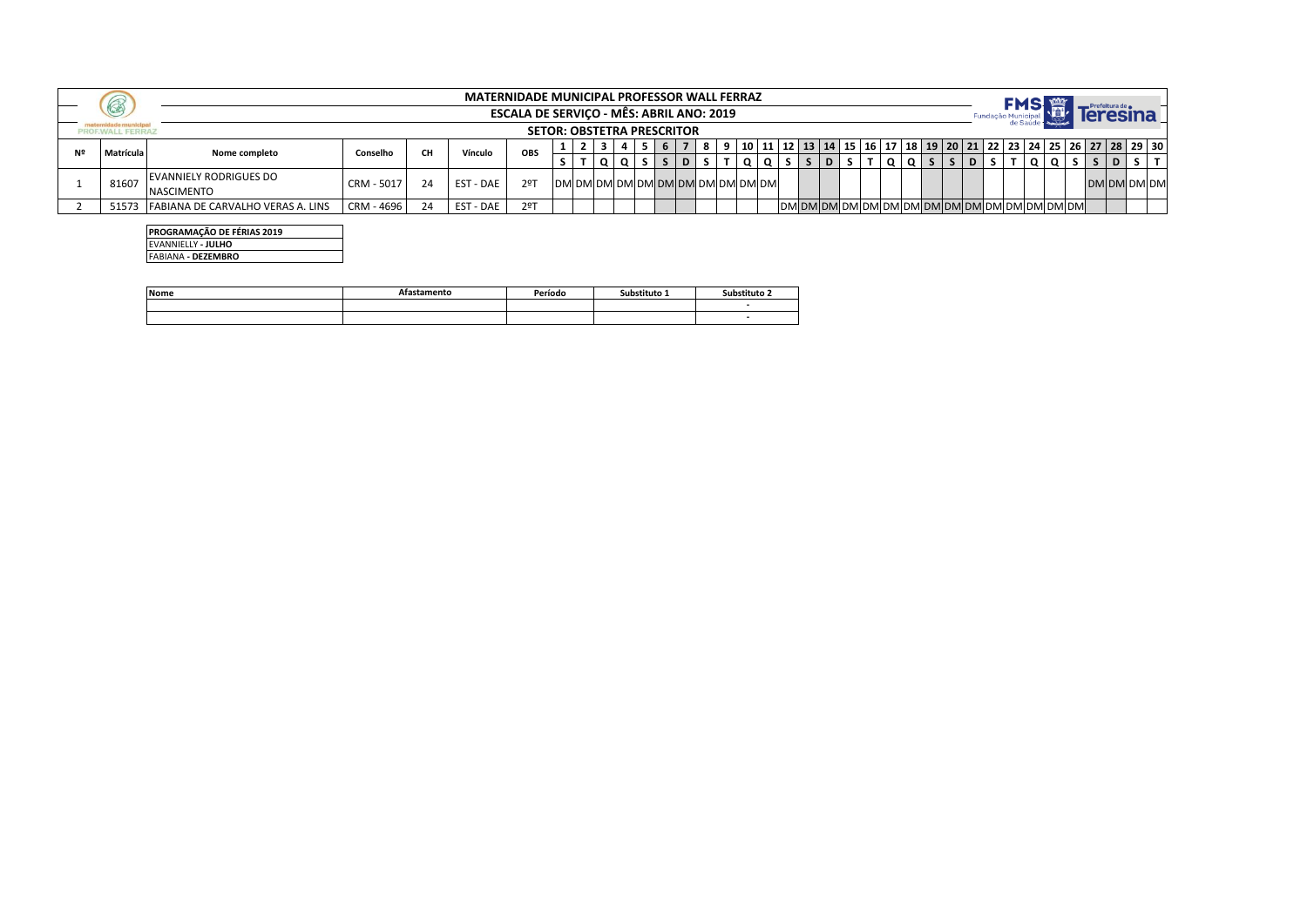| 6         |                                   |            |    |                  | <b>MATERNIDADE MUNICIPAL PROFESSOR WALL FERRAZ</b>                            |  |  |                                 |   |  |  |                                                                                                        |  |  |  |  |  |     |             |
|-----------|-----------------------------------|------------|----|------------------|-------------------------------------------------------------------------------|--|--|---------------------------------|---|--|--|--------------------------------------------------------------------------------------------------------|--|--|--|--|--|-----|-------------|
|           |                                   |            |    |                  | ESCALA DE SERVIÇO - MÊS: ABRIL ANO: 2019<br><b>SETOR: OBSTETRA PRESCRITOR</b> |  |  |                                 |   |  |  |                                                                                                        |  |  |  |  |  |     |             |
|           |                                   |            |    |                  |                                                                               |  |  |                                 |   |  |  |                                                                                                        |  |  |  |  |  |     |             |
| Matrícula | Nome completo                     | Conselho   |    | Vínculo          | <b>OBS</b>                                                                    |  |  |                                 |   |  |  | 10   11   12   13   14   15   16   17   18   19   20   21   22   23   24   25   26   27   28   29   30 |  |  |  |  |  |     |             |
|           |                                   |            |    |                  |                                                                               |  |  |                                 | D |  |  |                                                                                                        |  |  |  |  |  | 15. |             |
|           | EVANNIELY RODRIGUES DO            |            |    |                  |                                                                               |  |  | IDMIDMIDMIDMIDMIDMIDMIDMIDMIDMI |   |  |  |                                                                                                        |  |  |  |  |  |     |             |
| 81607     | <b>NASCIMENTO</b>                 | CRM - 5017 | 24 | <b>EST - DAE</b> | 2ºT                                                                           |  |  |                                 |   |  |  |                                                                                                        |  |  |  |  |  |     | DM DM DM DM |
| 51573     | FABIANA DE CARVALHO VERAS A. LINS | CRM - 4696 |    | EST - DAE        | 2ºT                                                                           |  |  |                                 |   |  |  |                                                                                                        |  |  |  |  |  |     |             |

**PROGRAMAÇÃO DE FÉRIAS 2019** EVANNIELLY **- JULHO** FABIANA **- DEZEMBRO**

| <b>Nome</b> | ament | Período | ostituto<br>.sur | Substituto     |
|-------------|-------|---------|------------------|----------------|
|             |       |         |                  |                |
|             |       |         |                  | $\blacksquare$ |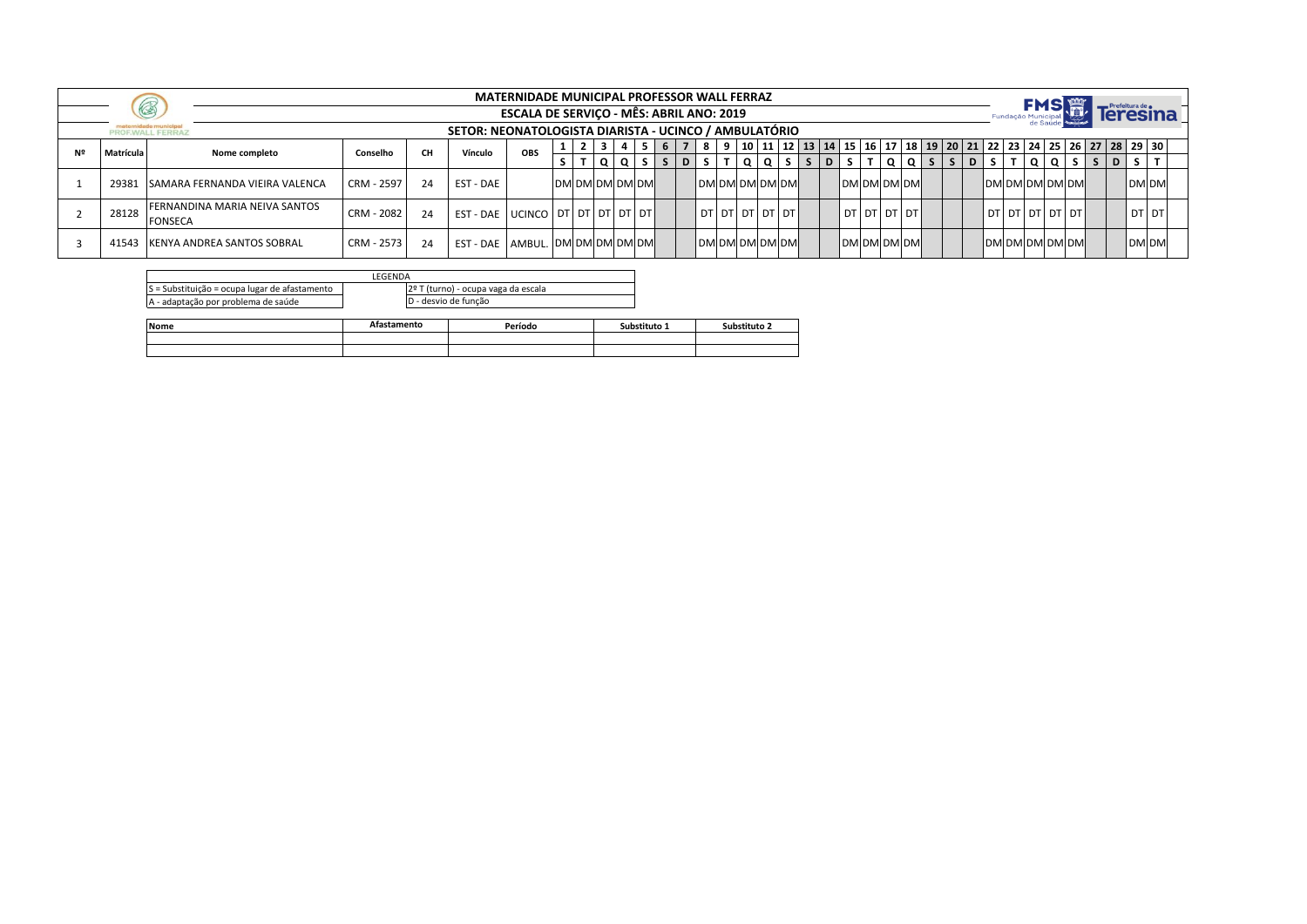|           |                                                 |            |           |                                                       | <b>MATERNIDADE MUNICIPAL PROFESSOR WALL FERRAZ</b> |                |  |                 |  |  |  |                       |  |                       |  |  |  |                                                                                                                |  |              |              |                 |
|-----------|-------------------------------------------------|------------|-----------|-------------------------------------------------------|----------------------------------------------------|----------------|--|-----------------|--|--|--|-----------------------|--|-----------------------|--|--|--|----------------------------------------------------------------------------------------------------------------|--|--------------|--------------|-----------------|
|           | $\circledR$                                     |            |           |                                                       | <b>ESCALA DE SERVICO - MÊS: ABRIL ANO: 2019</b>    |                |  |                 |  |  |  |                       |  |                       |  |  |  |                                                                                                                |  |              |              | <b>Teresina</b> |
|           | PROF.WALL FERRAZ                                |            |           | SETOR: NEONATOLOGISTA DIARISTA - UCINCO / AMBULATÓRIO |                                                    |                |  |                 |  |  |  |                       |  |                       |  |  |  |                                                                                                                |  |              |              |                 |
| Matrícula | Nome completo                                   | Conselho   | <b>CH</b> | Vínculo                                               | OBS                                                |                |  |                 |  |  |  |                       |  |                       |  |  |  | 8   9   10   11   12   13   14   15   16   17   18   19   20   21   22   23   24   25   26   27   28   29   30 |  |              |              |                 |
|           |                                                 |            |           |                                                       |                                                    |                |  | $T  Q Q S S D $ |  |  |  | TIQIQISI              |  |                       |  |  |  | s   ɒ   s   т   q   q   s   s   ɒ   s   т   q   q   s                                                          |  | $\mathsf{D}$ |              |                 |
| 29381     | <b>SAMARA FERNANDA VIEIRA VALENCA</b>           | CRM - 2597 |           | EST - DAE                                             |                                                    | DM DM DM DM DM |  |                 |  |  |  | <b>DM DM DM DM DM</b> |  | <b>IDMOMOMOMI</b>     |  |  |  | DM DM DM DM DM                                                                                                 |  |              | <b>DM DM</b> |                 |
| 28128     | FERNANDINA MARIA NEIVA SANTOS<br><b>FONSECA</b> | CRM - 2082 |           | EST - DAE   UCINCO   DT   DT   DT   DT   DT           |                                                    |                |  |                 |  |  |  | DTI DTI DTI DTI DTI   |  | l dt l dt l dt l dt l |  |  |  | l dt I dt I dt I dt I dt I                                                                                     |  |              | <b>DT DT</b> |                 |
| 41543     | <b>IKENYA ANDREA SANTOS SOBRAL</b>              | CRM - 2573 |           | EST - DAE   AMBUL.   DM DM DM DM DM                   |                                                    |                |  |                 |  |  |  | DM DM DM DM DM        |  | <b>DM DM DM DM</b>    |  |  |  | DM DM DM DM DM                                                                                                 |  |              | <b>DM DM</b> |                 |

|                                               | <b>FGFNDA</b> |                                     |
|-----------------------------------------------|---------------|-------------------------------------|
| S = Substituição = ocupa lugar de afastamento |               | 2º T (turno) - ocupa vaga da escala |
| A - adaptação por problema de saúde           |               | D - desvio de funcão                |

| Nome | ንmentւ. | Período | Substituto | Substituto 2 |
|------|---------|---------|------------|--------------|
|      |         |         |            |              |
|      |         |         |            |              |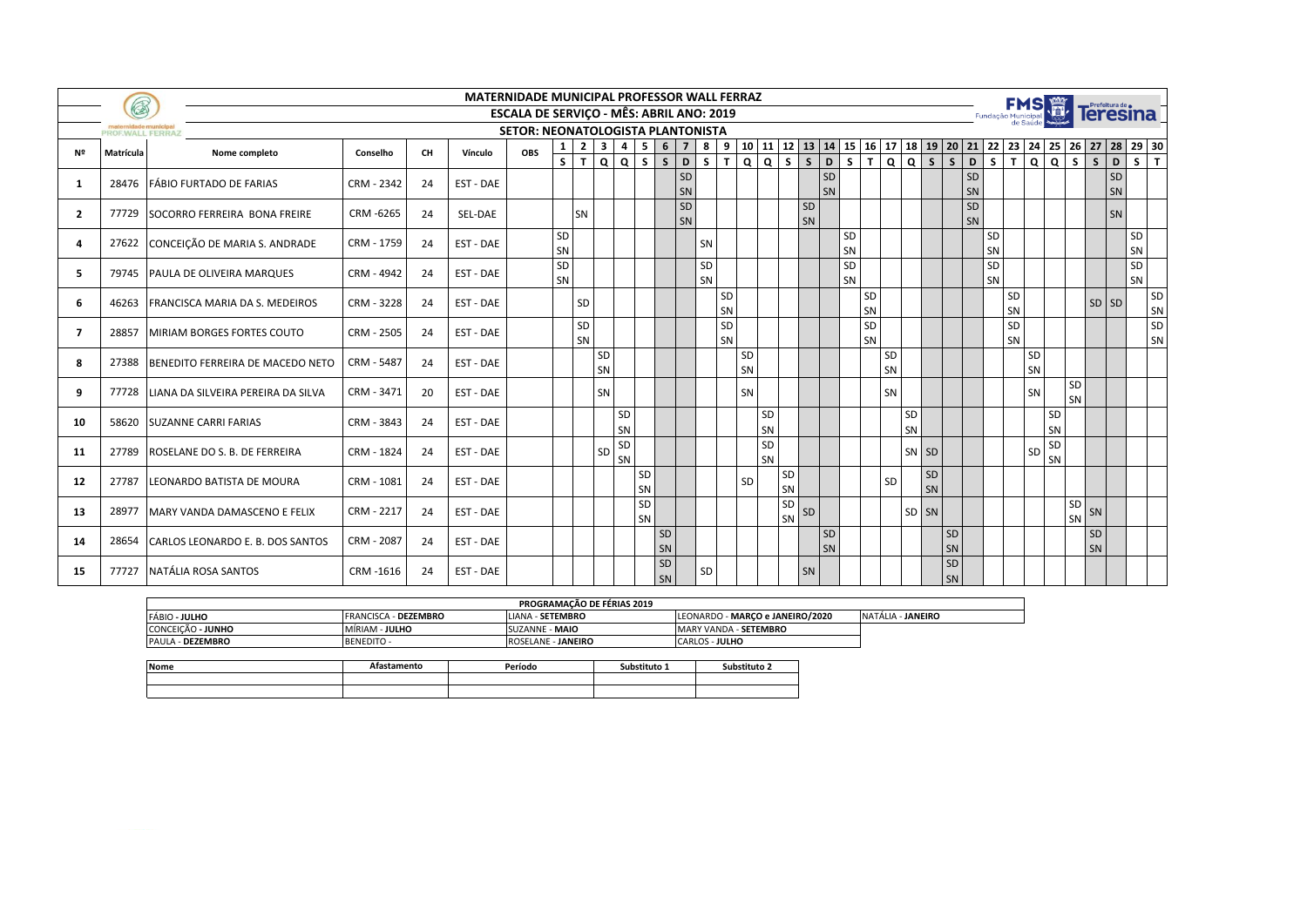|                | B                |                                          |            |           |           | <b>MATERNIDADE MUNICIPAL PROFESSOR WALL FERRAZ</b>                                          |              |                |                |                        |          |                 |                |              |          |                 |          |                   |          |                 |          |          |          |          |                     |          |                 |          |            |                                         |          |                                                                               |          |          |
|----------------|------------------|------------------------------------------|------------|-----------|-----------|---------------------------------------------------------------------------------------------|--------------|----------------|----------------|------------------------|----------|-----------------|----------------|--------------|----------|-----------------|----------|-------------------|----------|-----------------|----------|----------|----------|----------|---------------------|----------|-----------------|----------|------------|-----------------------------------------|----------|-------------------------------------------------------------------------------|----------|----------|
|                |                  |                                          |            |           |           | <b>ESCALA DE SERVICO - MÊS: ABRIL ANO: 2019</b><br><b>SETOR: NEONATOLOGISTA PLANTONISTA</b> |              |                |                |                        |          |                 |                |              |          |                 |          |                   |          |                 |          |          |          |          |                     |          |                 |          | <b>FMS</b> |                                         |          | Teresina <sup>T</sup>                                                         |          |          |
|                | PROF.WALL FERRAZ |                                          |            |           |           |                                                                                             | 1            | $\overline{2}$ | 3 <sup>1</sup> | $4 \mid 5 \mid 6 \mid$ |          | 7 <sup>1</sup>  | 8 <sup>1</sup> | 9            |          |                 |          | 10 11 12 13 14    |          |                 |          |          |          |          |                     |          |                 |          |            |                                         |          | 15   16   17   18   19   20   21   22   23   24   25   26   27   28   29   30 |          |          |
| Nº             | Matrícula        | Nome completo                            | Conselho   | <b>CH</b> | Vínculo   | <b>OBS</b>                                                                                  | $\mathsf{s}$ | T              |                | Q Q S S                |          | D               | S              | $\mathbf{T}$ |          |                 | Q Q S S  |                   | D        | s l             | T        |          |          |          | Q Q S S D           |          | S<br>T          |          |            |                                         |          | Q Q S S D S                                                                   |          | T        |
| 1              | 28476            | FÁBIO FURTADO DE FARIAS                  | CRM - 2342 | 24        | EST - DAE |                                                                                             |              |                |                |                        |          | <b>SD</b><br>SN |                |              |          |                 |          |                   | SD<br>SN |                 |          |          |          |          |                     | SD<br>SN |                 |          |            |                                         |          | SD<br>SN                                                                      |          |          |
| $\overline{2}$ |                  | 77729 SOCORRO FERREIRA BONA FREIRE       | CRM-6265   | 24        | SEL-DAE   |                                                                                             |              | <b>SN</b>      |                |                        |          | SD<br>SN        |                |              |          |                 |          | SD<br>SN          |          |                 |          |          |          |          |                     | SD<br>SN |                 |          |            |                                         |          | SN                                                                            |          |          |
| $\Delta$       |                  | 27622 CONCEIÇÃO DE MARIA S. ANDRADE      | CRM - 1759 | 24        | EST - DAE |                                                                                             | SD<br>SN     |                |                |                        |          |                 | SN             |              |          |                 |          |                   |          | SD<br>SN        |          |          |          |          |                     |          | SD<br>SN        |          |            |                                         |          |                                                                               | SD<br>SN |          |
| 5              |                  | 79745 PAULA DE OLIVEIRA MARQUES          | CRM - 4942 | 24        | EST - DAE |                                                                                             | SD<br>SN     |                |                |                        |          |                 | SD<br>SN       |              |          |                 |          |                   |          | SD<br><b>SN</b> |          |          |          |          |                     |          | <b>SD</b><br>SN |          |            |                                         |          |                                                                               | SD<br>SN |          |
| 6              | 46263            | FRANCISCA MARIA DA S. MEDEIROS           | CRM - 3228 | 24        | EST - DAE |                                                                                             |              | SD             |                |                        |          |                 |                | SD<br>SN     |          |                 |          |                   |          |                 | SD<br>SN |          |          |          |                     |          | SD<br>SN        |          |            |                                         |          | SD SD                                                                         |          | SD<br>SN |
| 7              | 28857            | MIRIAM BORGES FORTES COUTO               | CRM - 2505 | 24        | EST - DAE |                                                                                             |              | SD<br>SN       |                |                        |          |                 |                | SD<br>SN     |          |                 |          |                   |          |                 | SD<br>SN |          |          |          |                     |          | SD<br>SN        |          |            |                                         |          |                                                                               |          | SD<br>SN |
| 8              | 27388            | BENEDITO FERREIRA DE MACEDO NETO         | CRM - 5487 | 24        | EST - DAE |                                                                                             |              |                | SD<br>SN       |                        |          |                 |                |              | SD<br>SN |                 |          |                   |          |                 |          | SD<br>SN |          |          |                     |          |                 | SD<br>SN |            |                                         |          |                                                                               |          |          |
| ٩              |                  | 77728 LIANA DA SILVEIRA PEREIRA DA SILVA | CRM - 3471 | 20        | EST - DAE |                                                                                             |              |                | SN             |                        |          |                 |                |              | SN       |                 |          |                   |          |                 |          | SN       |          |          |                     |          |                 | SN       |            | SD<br><b>SN</b>                         |          |                                                                               |          |          |
| 10             | 58620            | <b>SUZANNE CARRI FARIAS</b>              | CRM - 3843 | 24        | EST - DAE |                                                                                             |              |                |                | SD<br>SN               |          |                 |                |              |          | <b>SD</b><br>SN |          |                   |          |                 |          |          | SD<br>SN |          |                     |          |                 |          | SD<br>SN   |                                         |          |                                                                               |          |          |
| 11             | 27789            | ROSELANE DO S. B. DE FERREIRA            | CRM - 1824 | 24        | EST - DAE |                                                                                             |              |                | SD             | SD<br>SN               |          |                 |                |              |          | SD<br>SN        |          |                   |          |                 |          |          |          | SN SD    |                     |          |                 | SD       | SD<br>SN   |                                         |          |                                                                               |          |          |
| 12             | 27787            | LEONARDO BATISTA DE MOURA                | CRM - 1081 | 24        | EST - DAE |                                                                                             |              |                |                |                        | SD<br>SN |                 |                |              | SD       |                 | SD<br>SN |                   |          |                 |          | SD       |          | SD<br>SN |                     |          |                 |          |            |                                         |          |                                                                               |          |          |
| 13             | 28977            | MARY VANDA DAMASCENO E FELIX             | CRM - 2217 | 24        | EST - DAE |                                                                                             |              |                |                |                        | SD<br>SN |                 |                |              |          |                 | SD       | $\frac{1}{5N}$ SD |          |                 |          |          |          | SD SN    |                     |          |                 |          |            | SD<br>$\left  \frac{SN}{SN} \right $ SN |          |                                                                               |          |          |
| 14             | 28654            | CARLOS LEONARDO E. B. DOS SANTOS         | CRM - 2087 | 24        | EST - DAE |                                                                                             |              |                |                |                        | SD<br>SN |                 |                |              |          |                 |          |                   | SD<br>SN |                 |          |          |          |          | SD<br>SN            |          |                 |          |            |                                         | SD<br>SN |                                                                               |          |          |
| 15             | 77727            | NATÁLIA ROSA SANTOS                      | CRM-1616   | 24        | EST - DAE |                                                                                             |              |                |                |                        | SD<br>SN |                 | SD             |              |          |                 |          | SN                |          |                 |          |          |          |          | $\mathsf{SD}$<br>SN |          |                 |          |            |                                         |          |                                                                               |          |          |

|                         |                             | <b>PROGRAMACÃO DE FÉRIAS 2019</b> |                                 |                          |
|-------------------------|-----------------------------|-----------------------------------|---------------------------------|--------------------------|
| FÁBIO - JULHO           | <b>FRANCISCA - DEZEMBRO</b> | LIANA - SETEMBRO                  | LEONARDO - MARCO e JANEIRO/2020 | NATÁLIA - <b>JANEIRO</b> |
| CONCEIÇÃO - JUNHO       | MÍRIAM - JULHO              | SUZANNE - MAIO                    | <b>MARY VANDA - SETEMBRO</b>    |                          |
| <b>PAULA - DEZEMBRO</b> | <b>BENEDITO -</b>           | <b>ROSELANE - JANEIRO</b>         | <b>CARLOS - JULHO</b>           |                          |

| <b>Nome</b> | Afastamento | Período | Substituto 1 | Substituto 2 |
|-------------|-------------|---------|--------------|--------------|
|             |             |         |              |              |
|             |             |         |              |              |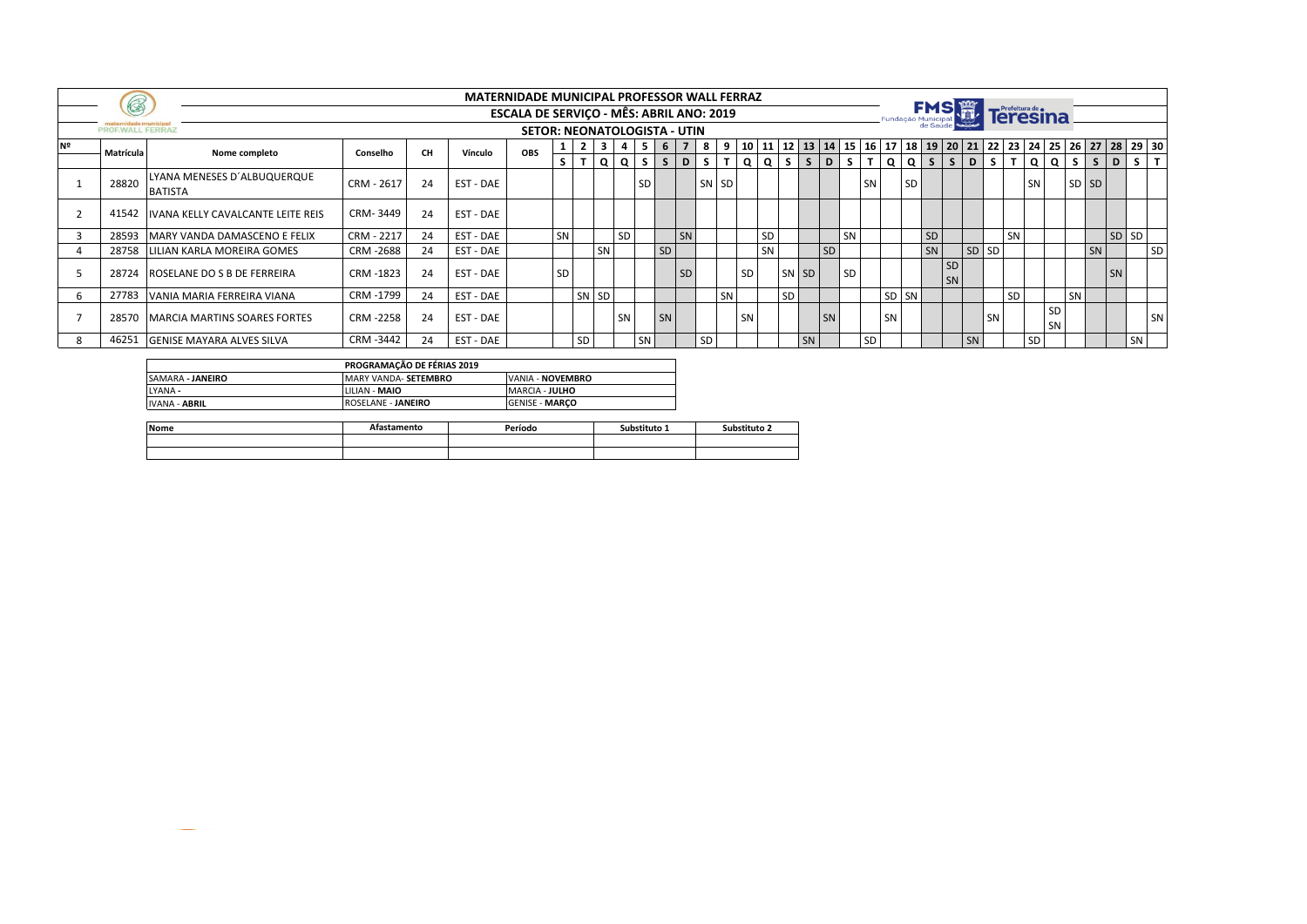|    |                  |                                               |            |           |           | <b>MATERNIDADE MUNICIPAL PROFESSOR WALL FERRAZ</b> |            |    |           |           |           |    |    |           |           |           |           |           |    |           |            |           |                   |                 |                 |                                                                                                        |           |           |                        |       |         |       |         |
|----|------------------|-----------------------------------------------|------------|-----------|-----------|----------------------------------------------------|------------|----|-----------|-----------|-----------|----|----|-----------|-----------|-----------|-----------|-----------|----|-----------|------------|-----------|-------------------|-----------------|-----------------|--------------------------------------------------------------------------------------------------------|-----------|-----------|------------------------|-------|---------|-------|---------|
|    | $\circ$          |                                               |            |           |           | ESCALA DE SERVIÇO - MÊS: ABRIL ANO: 2019           |            |    |           |           |           |    |    |           |           |           |           |           |    |           |            |           | Fundação Municipa | <b>FMS 篇</b>    |                 |                                                                                                        | Teresina  |           |                        |       |         |       |         |
|    | PROF.WALL FERRAZ |                                               |            |           |           | <b>SETOR: NEONATOLOGISTA - UTIN</b>                |            |    |           |           |           |    |    |           |           |           |           |           |    |           |            |           |                   |                 |                 |                                                                                                        |           |           |                        |       |         |       |         |
| Nº | Matrícula        | Nome completo                                 | Conselho   | <b>CH</b> | Vínculo   | OBS                                                | <b>L</b> 1 | 2  | 3 I       |           |           | -6 |    | 81        | 9         |           |           |           |    |           |            |           |                   |                 |                 | 10   11   12   13   14   15   16   17   18   19   20   21   22   23   24   25   26   27   28   29   30 |           |           |                        |       |         |       |         |
|    |                  |                                               |            |           |           |                                                    | s l        |    |           | Q Q S     |           | S. | D  | $S$ T     |           |           | $ Q Q $   | S S D S   |    |           |            |           |                   |                 |                 | $T   Q   Q   S   S   S   D   S  $                                                                      |           | TQQ       |                        | -S I  | $S$   D |       | $S$ $T$ |
|    | 28820            | LYANA MENESES D'ALBUQUERQUE<br><b>BATISTA</b> | CRM - 2617 | 24        | EST - DAE |                                                    |            |    |           |           | <b>SD</b> |    |    | <b>SN</b> | <b>SD</b> |           |           |           |    |           | <b>SN</b>  |           | <b>SD</b>         |                 |                 |                                                                                                        |           | <b>SN</b> |                        | SD SD |         |       |         |
|    | 41542            | <b>IVANA KELLY CAVALCANTE LEITE REIS</b>      | CRM-3449   | 24        | EST - DAE |                                                    |            |    |           |           |           |    |    |           |           |           |           |           |    |           |            |           |                   |                 |                 |                                                                                                        |           |           |                        |       |         |       |         |
|    |                  | 28593 MARY VANDA DAMASCENO E FELIX            | CRM - 2217 | 24        | EST - DAE |                                                    | SN         |    |           | <b>SD</b> |           |    | SN |           |           |           | <b>SD</b> |           |    | SN        |            |           |                   | SD <sub>1</sub> |                 |                                                                                                        | SN        |           |                        |       |         | SD SD |         |
|    | 28758            | LILIAN KARLA MOREIRA GOMES                    | CRM-2688   | 24        | EST - DAE |                                                    |            |    | SN        |           |           | SD |    |           |           |           | SN        |           |    | SD        |            |           |                   | SN              |                 | SD SD                                                                                                  |           |           |                        |       | SN      |       | SD      |
|    | 28724            | ROSELANE DO S B DE FERREIRA                   | CRM-1823   | 24        | EST - DAE |                                                    | SD         |    |           |           |           |    | SD |           |           | SD        |           | SN SD     |    | <b>SD</b> |            |           |                   |                 | <b>SD</b><br>SN |                                                                                                        |           |           |                        |       |         | SN    |         |
|    |                  | 27783 VANIA MARIA FERREIRA VIANA              | CRM -1799  | 24        | EST - DAE |                                                    |            | SN | <b>SD</b> |           |           |    |    |           | SN        |           |           | <b>SD</b> |    |           |            |           | SD SN             |                 |                 |                                                                                                        | <b>SD</b> |           |                        | SN    |         |       |         |
|    |                  | 28570 MARCIA MARTINS SOARES FORTES            | CRM-2258   | 24        | EST - DAE |                                                    |            |    |           | SN        |           | SN |    |           |           | <b>SN</b> |           |           | SN |           |            | <b>SN</b> |                   |                 |                 | SN                                                                                                     |           |           | <b>SD</b><br><b>SN</b> |       |         |       | SN      |
|    | 46251            | <b>GENISE MAYARA ALVES SILVA</b>              | CRM -3442  | 24        | EST - DAE |                                                    |            | SD |           |           | SN        |    |    | <b>SD</b> |           |           |           |           | SN |           | <b>ISD</b> |           |                   |                 |                 | SN                                                                                                     |           | <b>SD</b> |                        |       |         |       | SN      |

|                      | PROGRAMAÇÃO DE FÉRIAS 2019 |                       |
|----------------------|----------------------------|-----------------------|
| SAMARA - JANEIRO     | MARY VANDA- SETEMBRO       | VANIA - NOVEMBRO      |
| LYANA -              | LILIAN - MAIO              | <b>MARCIA - JULHO</b> |
| <b>IVANA - ABRIL</b> | ROSELANE - JANEIRO         | <b>GENISE - MARCO</b> |

| Nome | stamento | Período | <b>Substituto 1</b> | iuhstituto |
|------|----------|---------|---------------------|------------|
|      |          |         |                     |            |
|      |          |         |                     |            |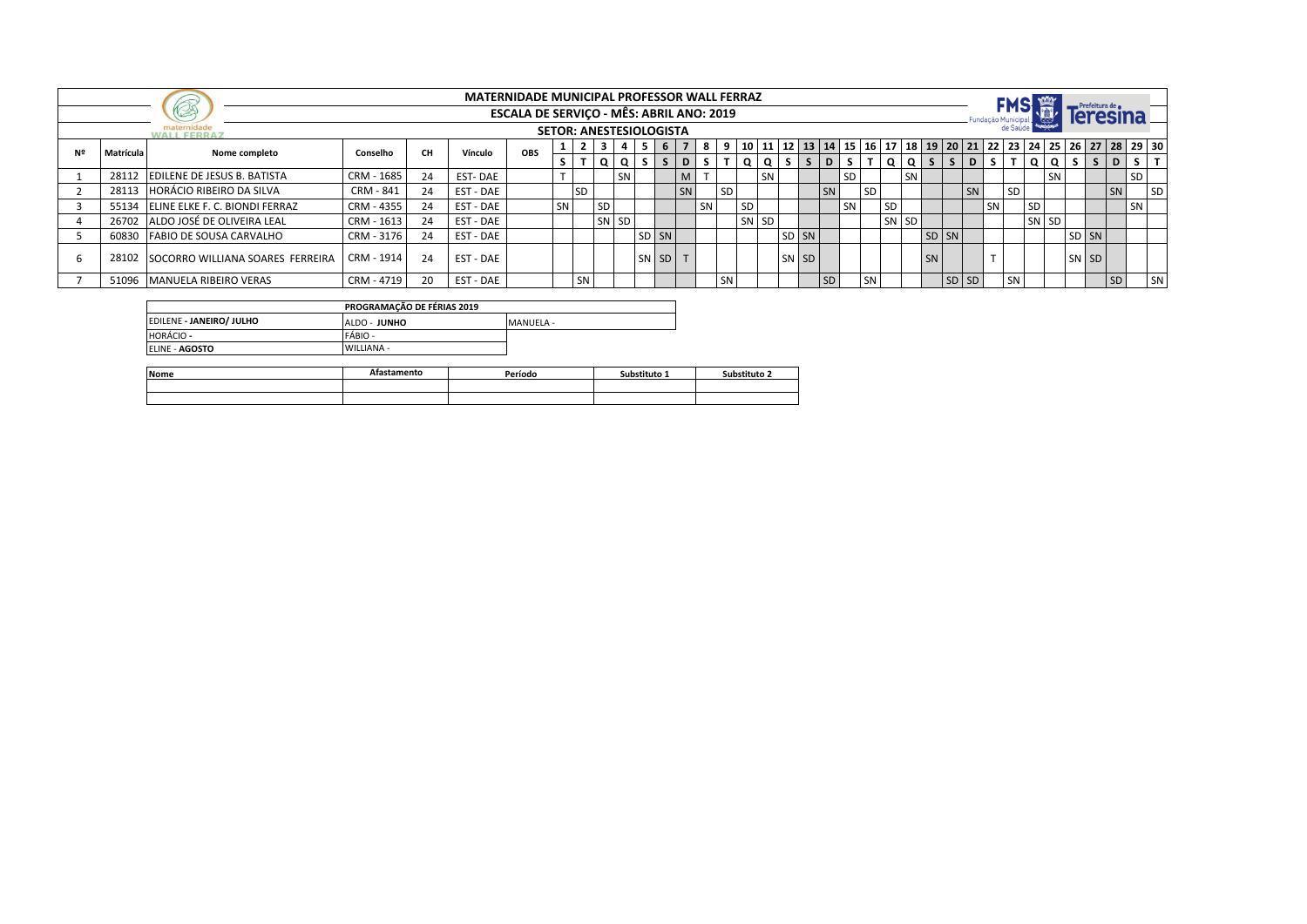|           |                                        |            |           | <b>MATERNIDADE MUNICIPAL PROFESSOR WALL FERRAZ</b> |                                          |    |           |    |                                |       |    |    |       |           |           |           |            |           |           |           |           |                  |       |       |    |    |           |          |       |                                                                                                        |           |
|-----------|----------------------------------------|------------|-----------|----------------------------------------------------|------------------------------------------|----|-----------|----|--------------------------------|-------|----|----|-------|-----------|-----------|-----------|------------|-----------|-----------|-----------|-----------|------------------|-------|-------|----|----|-----------|----------|-------|--------------------------------------------------------------------------------------------------------|-----------|
|           | <b>85</b>                              |            |           |                                                    | ESCALA DE SERVIÇO - MÊS: ABRIL ANO: 2019 |    |           |    |                                |       |    |    |       |           |           |           |            |           |           |           |           |                  |       |       |    |    |           |          |       |                                                                                                        |           |
|           | <b>WALL FERRAZ</b>                     |            |           |                                                    |                                          |    |           |    | <b>SETOR: ANESTESIOLOGISTA</b> |       |    |    |       |           |           |           |            |           |           |           |           |                  |       |       |    |    |           |          |       |                                                                                                        |           |
| Matrícula | Nome completo                          | Conselho   | <b>CH</b> | Vínculo                                            | OBS                                      |    |           |    |                                | - 5   | 6  |    | 819   |           |           |           |            |           |           |           |           |                  |       |       |    |    |           |          |       | 10   11   12   13   14   15   16   17   18   19   20   21   22   23   24   25   26   27   28   29   30 |           |
|           |                                        |            |           |                                                    |                                          |    |           |    | $\Omega$                       |       | S. | D  | s l   |           | 0 I       | $\Omega$  | $S \mid S$ | D         | s l       |           | $\Omega$  | $Q$ $S$ $\vdash$ | S.    | D     | S. |    | $\alpha$  | $\Omega$ | $S$ S | D                                                                                                      | l T<br>S. |
| 28112     | <b>EDILENE DE JESUS B. BATISTA</b>     | CRM - 1685 | 24        | EST-DAE                                            |                                          |    |           |    | SN <sub>1</sub>                |       |    | M  |       |           |           | <b>SN</b> |            |           | <b>SD</b> |           |           | SN               |       |       |    |    |           | SN       |       | SD                                                                                                     |           |
| 28113     | <b>HORÁCIO RIBEIRO DA SILVA</b>        | CRM - 841  | 24        | EST - DAE                                          |                                          |    | <b>SD</b> |    |                                |       |    | SN |       | i SD      |           |           |            | SN        |           | <b>SD</b> |           |                  |       | SN    |    | SD |           |          |       | SN                                                                                                     | <b>SD</b> |
| 55134     | ELINE ELKE F. C. BIONDI FERRAZ         | CRM - 4355 | 24        | EST - DAE                                          |                                          | SN |           | SD |                                |       |    |    | ∥SN · |           | <b>SD</b> |           |            |           | SN        |           | <b>SD</b> |                  |       |       | SN |    | <b>SD</b> |          |       | SN                                                                                                     |           |
| 26702     | ALDO JOSÉ DE OLIVEIRA LEAL             | CRM - 1613 | 24        | EST - DAE                                          |                                          |    |           |    | SN SD                          |       |    |    |       |           | SN SD     |           |            |           |           |           | SN SD     |                  |       |       |    |    | SN SD     |          |       |                                                                                                        |           |
| 60830     | <b>FABIO DE SOUSA CARVALHO</b>         | CRM - 3176 | 24        | EST - DAE                                          |                                          |    |           |    |                                | SD SN |    |    |       |           |           |           | SD SN      |           |           |           |           |                  | SD SN |       |    |    |           |          | SD SN |                                                                                                        |           |
|           | 28102 SOCORRO WILLIANA SOARES FERREIRA | CRM - 1914 | 24        | EST - DAE                                          |                                          |    |           |    |                                | SN SD |    |    |       |           |           |           | SN SD      |           |           |           |           | <b>SN</b>        |       |       |    |    |           |          | SN SD |                                                                                                        |           |
|           | 51096 MANUELA RIBEIRO VERAS            | CRM - 4719 | 20        | <b>EST - DAE</b>                                   |                                          |    | <b>SN</b> |    |                                |       |    |    |       | <b>SN</b> |           |           |            | <b>SD</b> |           | 1 SN      |           |                  |       | SD SD |    | SN |           |          |       | SD                                                                                                     | SN        |

|                          | PROGRAMAÇÃO DE FÉRIAS 2019 |           |
|--------------------------|----------------------------|-----------|
| EDILENE - JANEIRO/ JULHO | ALDO - JUNHO               | MANUFLA - |
| <b>HORÁCIO -</b>         | FÁBIO -                    |           |
| ELINE - AGOSTO           | WILLIANA -                 |           |

| Nome | Atastamento | Período | Substituto 1 | ۔ Substituto |
|------|-------------|---------|--------------|--------------|
|      |             |         |              |              |
|      |             |         |              |              |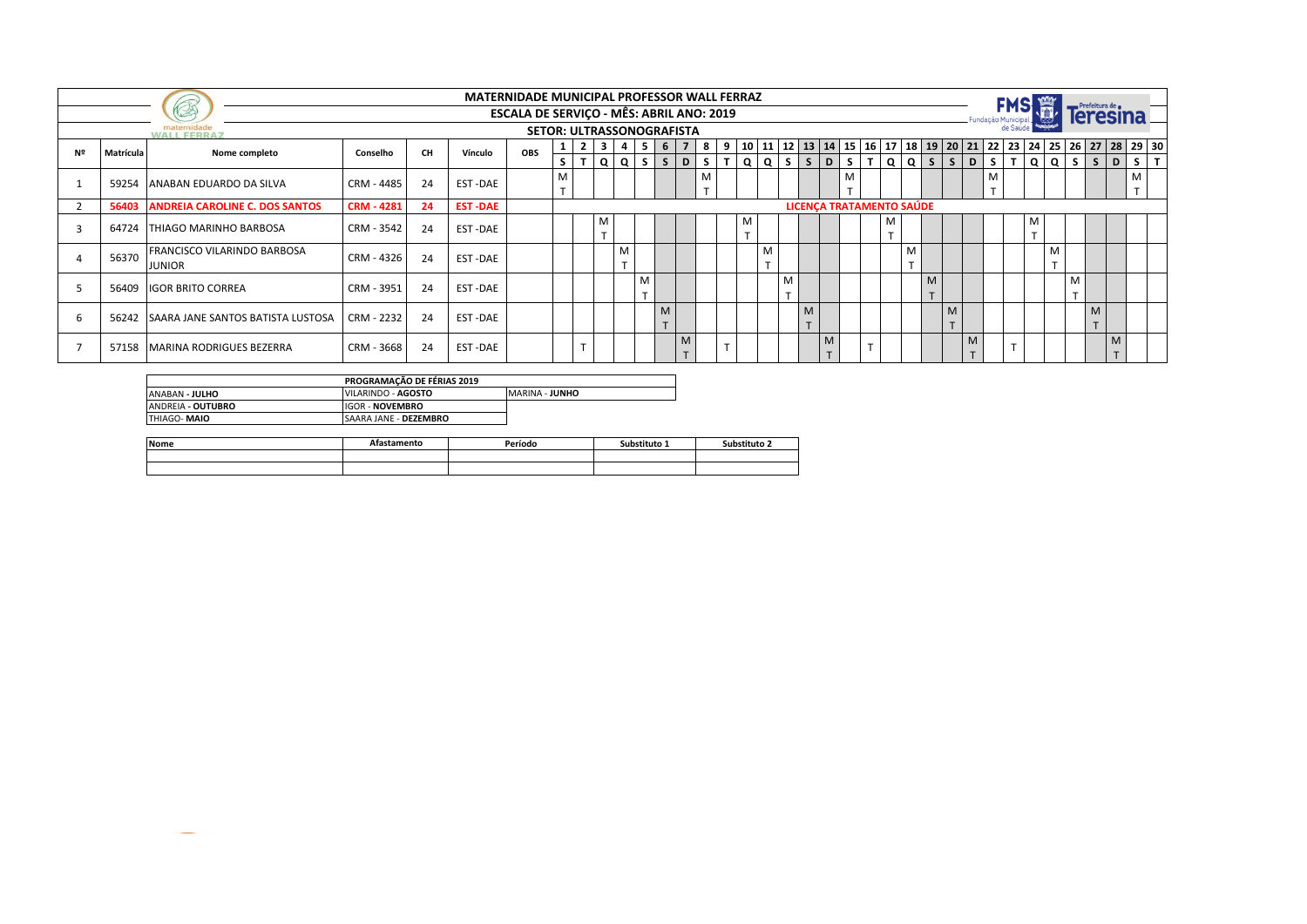|    |           |                                              |                   |           |                | <b>MATERNIDADE MUNICIPAL PROFESSOR WALL FERRAZ</b> |    |                |                   |             |                   |                     |     |            |                               |                   |             |                   |                                 |                   |                   |                |             |                   |            |             | Prefeitura de  |   |                                                                                                   |
|----|-----------|----------------------------------------------|-------------------|-----------|----------------|----------------------------------------------------|----|----------------|-------------------|-------------|-------------------|---------------------|-----|------------|-------------------------------|-------------------|-------------|-------------------|---------------------------------|-------------------|-------------------|----------------|-------------|-------------------|------------|-------------|----------------|---|---------------------------------------------------------------------------------------------------|
|    |           | KS                                           |                   |           |                | <b>ESCALA DE SERVICO - MÊS: ABRIL ANO: 2019</b>    |    |                |                   |             |                   |                     |     |            |                               |                   |             |                   |                                 |                   |                   |                |             | Fundação Municipa |            |             |                |   |                                                                                                   |
|    |           | <b>WALL FERRAZ</b>                           |                   |           |                | <b>SETOR: ULTRASSONOGRAFISTA</b>                   |    |                |                   |             |                   |                     |     |            |                               |                   |             |                   |                                 |                   |                   |                |             |                   |            |             |                |   |                                                                                                   |
| Nº | Matrícula | Nome completo                                | Conselho          | <b>CH</b> | Vínculo        | <b>OBS</b>                                         |    | $\overline{2}$ | $\mathbf{3}$      |             | 5                 | 6<br>$\overline{7}$ |     | $8 \mid 9$ | 10                            |                   |             |                   |                                 |                   |                   |                |             |                   |            |             |                |   | 11   12   13   14   15   16   17   18   19   20   21   22   23   24   25   26   27   28   29   30 |
|    |           |                                              |                   |           |                |                                                    | S. | Iт             | Q                 | Q I         | S.                | $ \sqrt{S}$<br>D    | s l | T          | Q                             | Q                 | $S$ $S$ $D$ |                   | S                               | T   Q             | l Q I             | S <sub>1</sub> | $S$   D     | S                 | <b>TQQ</b> | ls I        | S              | D | Iт<br>S.                                                                                          |
|    |           | 59254 ANABAN EDUARDO DA SILVA                | CRM - 4485        | 24        | EST-DAE        |                                                    | M  |                |                   |             |                   |                     | M   |            |                               |                   |             |                   | M                               |                   |                   |                |             | M                 |            |             |                |   | M                                                                                                 |
|    |           |                                              |                   |           |                |                                                    |    |                |                   |             |                   |                     |     |            |                               |                   |             |                   |                                 |                   |                   |                |             |                   |            |             |                |   | $\overline{\phantom{0}}$                                                                          |
|    | 56403     | <b>ANDREIA CAROLINE C. DOS SANTOS</b>        | <b>CRM - 4281</b> | 24        | <b>EST-DAE</b> |                                                    |    |                |                   |             |                   |                     |     |            |                               |                   |             |                   | <b>LICENCA TRATAMENTO SAÚDE</b> |                   |                   |                |             |                   |            |             |                |   |                                                                                                   |
|    | 64724     | THIAGO MARINHO BARBOSA                       | CRM - 3542        | 24        | EST-DAE        |                                                    |    |                | M<br>$\mathbf{r}$ |             |                   |                     |     |            | M<br>$\overline{\phantom{0}}$ |                   |             |                   |                                 | M<br>$\mathbf{r}$ |                   |                |             |                   | M          |             |                |   |                                                                                                   |
|    | 56370     | FRANCISCO VILARINDO BARBOSA<br><b>JUNIOR</b> | CRM - 4326        | 24        | EST-DAE        |                                                    |    |                |                   | M<br>$\tau$ |                   |                     |     |            |                               | M<br>$\mathbf{r}$ |             |                   |                                 |                   | M<br>$\mathbf{r}$ |                |             |                   |            |             |                |   |                                                                                                   |
|    | 56409     | <b>IIGOR BRITO CORREA</b>                    | CRM - 3951        | 24        | EST-DAE        |                                                    |    |                |                   |             | M<br>$\mathbf{r}$ |                     |     |            |                               |                   | M           |                   |                                 |                   |                   | M<br>$\mathbf$ |             |                   |            | M<br>$\tau$ |                |   |                                                                                                   |
|    | 56242     | <b>SAARA JANE SANTOS BATISTA LUSTOSA</b>     | CRM - 2232        | 24        | EST-DAE        |                                                    |    |                |                   |             |                   | M<br>$\mathbf{r}$   |     |            |                               |                   |             | M<br>$\mathbf{r}$ |                                 |                   |                   |                | M<br>$\tau$ |                   |            |             | M<br>$\mathbf$ |   |                                                                                                   |
|    | 57158     | <b>IMARINA RODRIGUES BEZERRA</b>             | CRM - 3668        | 24        | EST-DAE        |                                                    |    |                |                   |             |                   | M                   |     |            |                               |                   |             |                   | M                               |                   |                   |                |             |                   |            |             |                | M |                                                                                                   |

|                          | PROGRAMAÇÃO DE FÉRIAS 2019   |                       |
|--------------------------|------------------------------|-----------------------|
| ANABAN - <b>JULHO</b>    | VILARINDO - AGOSTO           | <b>MARINA - JUNHO</b> |
| ANDREIA - <b>OUTUBRO</b> | <b>IGOR - NOVEMBRO</b>       |                       |
| THIAGO- <b>MAIO</b>      | <b>SAARA JANE - DEZEMBRO</b> |                       |

| Nome | astamento | Período | Substituto 1 | Substituto 2 |
|------|-----------|---------|--------------|--------------|
|      |           |         |              |              |
|      |           |         |              |              |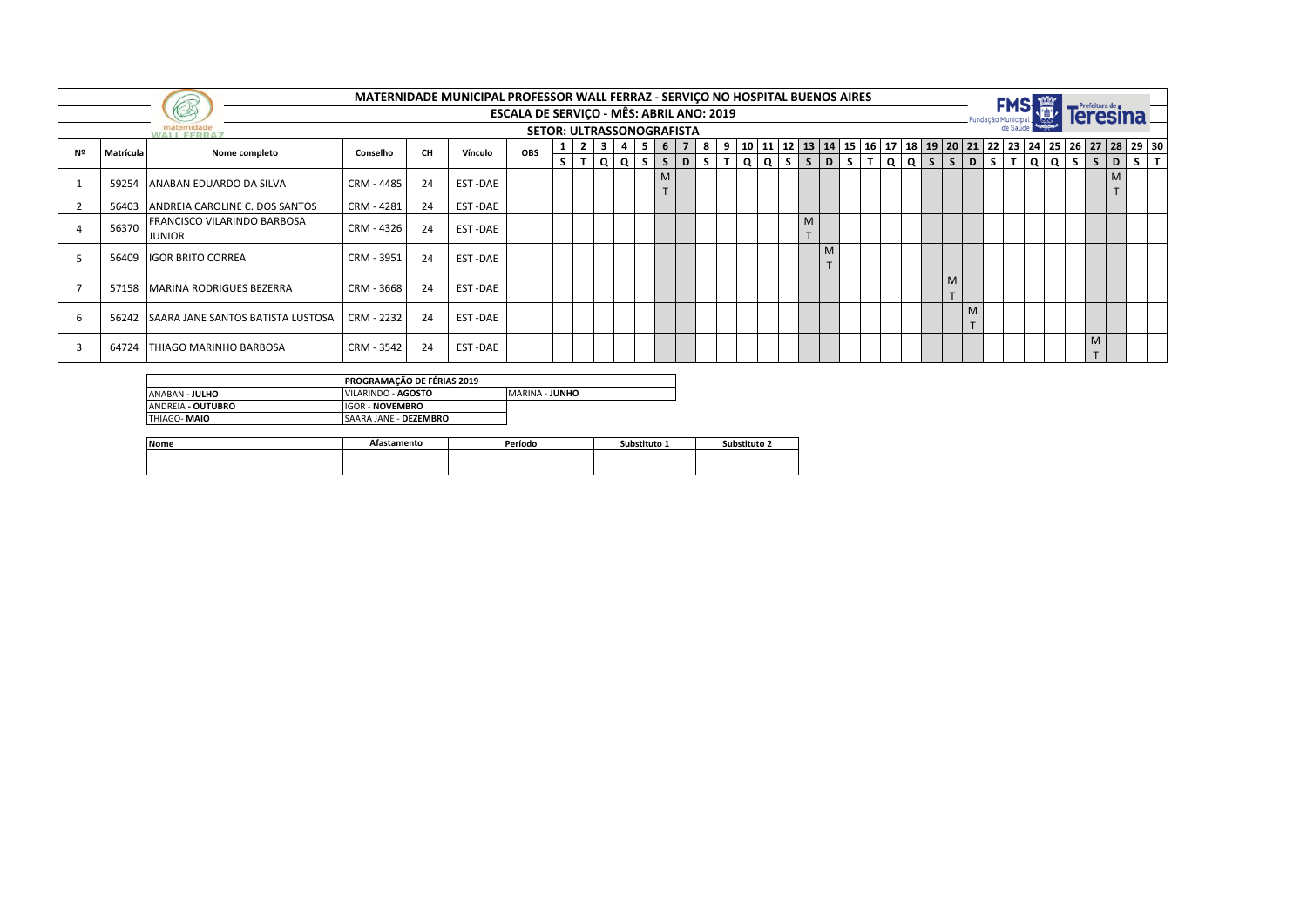|    |           |                                              |            |           | MATERNIDADE MUNICIPAL PROFESSOR WALL FERRAZ - SERVIÇO NO HOSPITAL BUENOS AIRES |                                                 |                 |                |          |            |   |                |         |   |                                           |        |  |  |                |      |  |                 | Prefeitura de <b>e</b> |                                                                    |
|----|-----------|----------------------------------------------|------------|-----------|--------------------------------------------------------------------------------|-------------------------------------------------|-----------------|----------------|----------|------------|---|----------------|---------|---|-------------------------------------------|--------|--|--|----------------|------|--|-----------------|------------------------|--------------------------------------------------------------------|
|    |           | KA                                           |            |           |                                                                                | <b>ESCALA DE SERVIÇO - MÊS: ABRIL ANO: 2019</b> |                 |                |          |            |   |                |         |   |                                           |        |  |  |                |      |  |                 |                        |                                                                    |
|    |           | <b>WALL FERRAZ</b>                           |            |           |                                                                                | <b>SETOR: ULTRASSONOGRAFISTA</b>                |                 |                |          |            |   |                |         |   |                                           |        |  |  |                |      |  |                 |                        |                                                                    |
| Nº | Matrícula | Nome completo                                | Conselho   | <b>CH</b> | Vínculo                                                                        | OBS                                             | $1 \mid 2 \mid$ | 3 <sup>1</sup> |          | 5 6        |   | $\overline{7}$ |         |   |                                           |        |  |  |                |      |  |                 |                        | 8 9 10 11 12 13 14 15 16 17 18 19 20 21 22 23 24 25 26 27 28 29 30 |
|    |           |                                              |            |           |                                                                                |                                                 | $S$ $T$         | Q I            | $\Omega$ | $S \mid S$ |   | D              | $S$ $T$ | Q | Q   S   S   D   S   T   Q   Q   S   S   D |        |  |  |                | ls I |  | $T  Q Q S S D $ |                        | $S$ $T$                                                            |
|    | 59254     | ANABAN EDUARDO DA SILVA                      | CRM - 4485 | 24        | EST-DAE                                                                        |                                                 |                 |                |          |            | M |                |         |   |                                           |        |  |  |                |      |  |                 |                        |                                                                    |
|    | 56403     | ANDREIA CAROLINE C. DOS SANTOS               | CRM - 4281 | 24        | EST-DAE                                                                        |                                                 |                 |                |          |            |   |                |         |   |                                           |        |  |  |                |      |  |                 |                        |                                                                    |
|    | 56370     | FRANCISCO VILARINDO BARBOSA<br><b>JUNIOR</b> | CRM - 4326 | 24        | EST-DAE                                                                        |                                                 |                 |                |          |            |   |                |         |   | M<br>$\mathbf$                            |        |  |  |                |      |  |                 |                        |                                                                    |
|    | 56409     | <b>IGOR BRITO CORREA</b>                     | CRM - 3951 | 24        | EST-DAE                                                                        |                                                 |                 |                |          |            |   |                |         |   |                                           | M<br>T |  |  |                |      |  |                 |                        |                                                                    |
|    |           | 57158 MARINA RODRIGUES BEZERRA               | CRM - 3668 | 24        | EST-DAE                                                                        |                                                 |                 |                |          |            |   |                |         |   |                                           |        |  |  | M<br>$\mathbf$ |      |  |                 |                        |                                                                    |
|    | 56242     | <b>SAARA JANE SANTOS BATISTA LUSTOSA</b>     | CRM - 2232 | 24        | EST-DAE                                                                        |                                                 |                 |                |          |            |   |                |         |   |                                           |        |  |  |                | ÷    |  |                 |                        |                                                                    |
|    | 64724     | <b>ITHIAGO MARINHO BARBOSA</b>               | CRM - 3542 | 24        | EST-DAE                                                                        |                                                 |                 |                |          |            |   |                |         |   |                                           |        |  |  |                |      |  |                 | M                      |                                                                    |

|                          | PROGRAMAÇÃO DE FÉRIAS 2019   |                        |
|--------------------------|------------------------------|------------------------|
| ANABAN - <b>JULHO</b>    | VILARINDO - AGOSTO           | <b>IMARINA - JUNHO</b> |
| ANDREIA - <b>OUTUBRO</b> | <b>IGOR - NOVEMBRO</b>       |                        |
| THIAGO- <b>MAIO</b>      | <b>SAARA JANE - DEZEMBRO</b> |                        |

| Nome | .stamento | Período | Substituto 1 | substituto 2 |
|------|-----------|---------|--------------|--------------|
|      |           |         |              |              |
|      |           |         |              |              |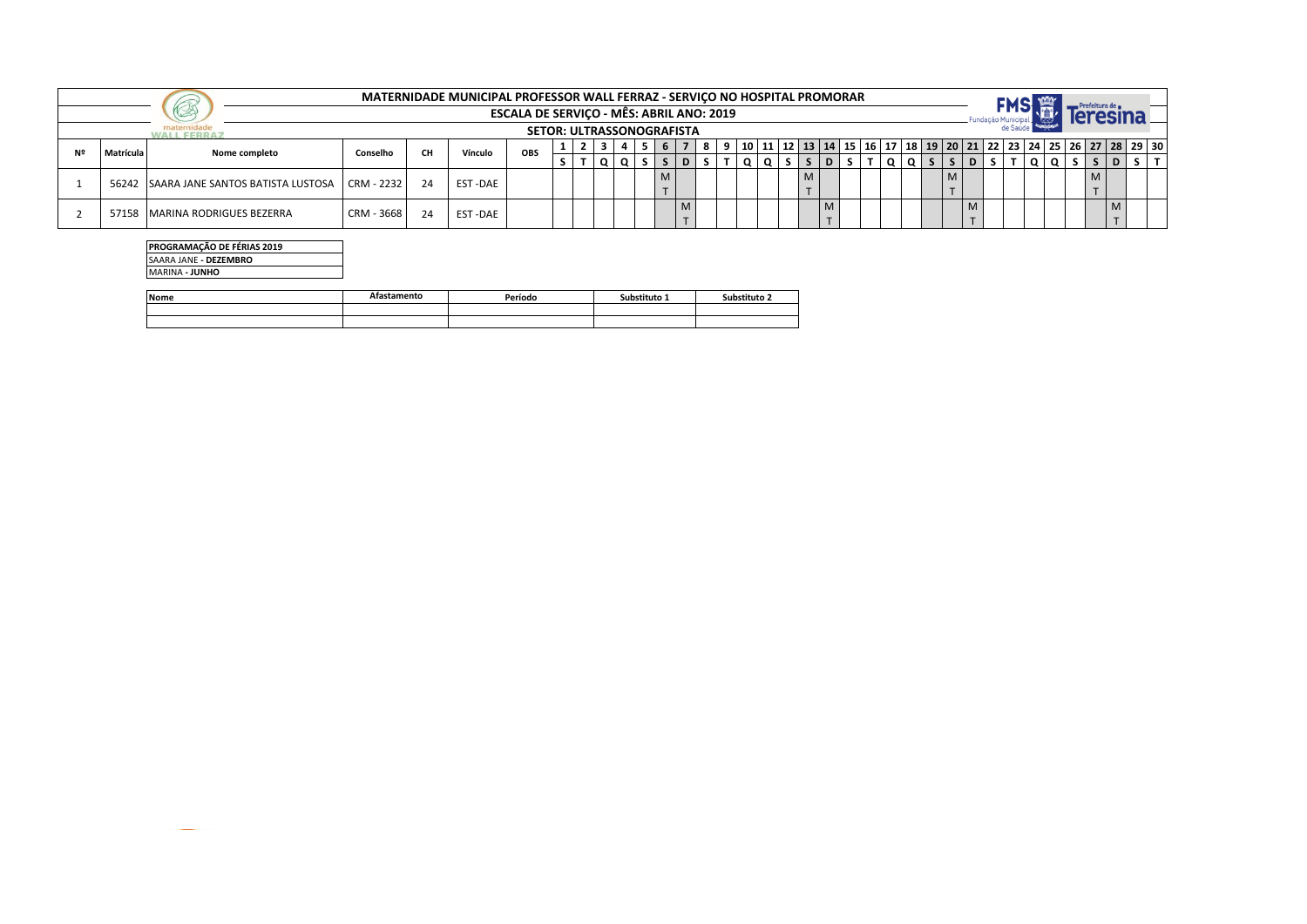|    |           | بالأمجال                                |            |    | MATERNIDADE MUNICIPAL PROFESSOR WALL FERRAZ - SERVICO NO HOSPITAL PROMORAR | ESCALA DE SERVIÇO - MÊS: ABRIL ANO: 2019 |  |  |   |  |     |  |  |  |   |    |                                                                                                        |  |  |           |            |  |
|----|-----------|-----------------------------------------|------------|----|----------------------------------------------------------------------------|------------------------------------------|--|--|---|--|-----|--|--|--|---|----|--------------------------------------------------------------------------------------------------------|--|--|-----------|------------|--|
|    |           |                                         |            |    |                                                                            | <b>SETOR: ULTRASSONOGRAFISTA</b>         |  |  |   |  |     |  |  |  |   |    |                                                                                                        |  |  |           |            |  |
| Nº | Matrícula | <b>Nome completo</b>                    | Conselho   | CH | Vínculo                                                                    | <b>OBS</b>                               |  |  |   |  |     |  |  |  |   |    | 10   11   12   13   14   15   16   17   18   19   20   21   22   23   24   25   26   27   28   29   30 |  |  |           |            |  |
|    |           |                                         |            |    |                                                                            |                                          |  |  |   |  | 1 Q |  |  |  | Q | S. |                                                                                                        |  |  |           |            |  |
|    |           | 56242 SAARA JANE SANTOS BATISTA LUSTOSA | CRM - 2232 | 24 | <b>EST-DAE</b>                                                             |                                          |  |  | M |  |     |  |  |  |   |    |                                                                                                        |  |  | M         |            |  |
|    |           |                                         |            |    |                                                                            |                                          |  |  |   |  |     |  |  |  |   |    |                                                                                                        |  |  | $\mathbf$ |            |  |
|    | 57158     | IMARINA RODRIGUES BEZERRA               | CRM - 3668 | 24 | <b>EST-DAE</b>                                                             |                                          |  |  |   |  |     |  |  |  |   |    | M                                                                                                      |  |  |           | <b>IVI</b> |  |
|    |           |                                         |            |    |                                                                            |                                          |  |  |   |  |     |  |  |  |   |    |                                                                                                        |  |  |           |            |  |

## **PROGRAMAÇÃO DE FÉRIAS 2019**

SAARA JANE **- DEZEMBRO**

MARINA **- JUNHO**

| <b>Nome</b> | menta | Periodo | hstituto <sub>-</sub><br>Su! | Substituto : |
|-------------|-------|---------|------------------------------|--------------|
|             |       |         |                              |              |
|             |       |         |                              |              |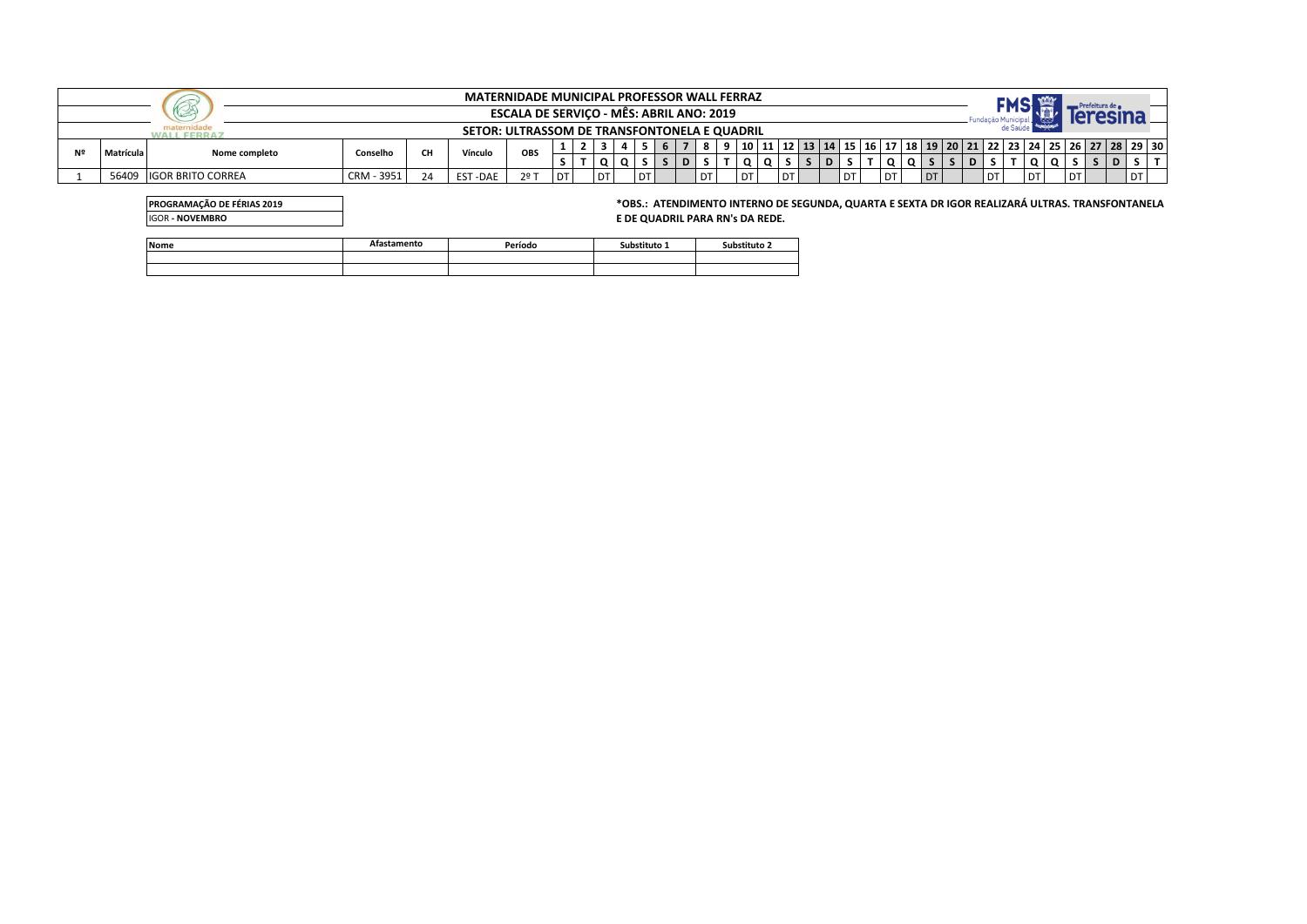|                                                 |                          |            |    | <b>MATERNIDADE MUNICIPAL PROFESSOR WALL FERRAZ</b> |               |           |  |    |  |      |  |   |    |      |     |                |      |           |  |  |      |           |      |      |                                                                                                        |
|-------------------------------------------------|--------------------------|------------|----|----------------------------------------------------|---------------|-----------|--|----|--|------|--|---|----|------|-----|----------------|------|-----------|--|--|------|-----------|------|------|--------------------------------------------------------------------------------------------------------|
| <b>ESCALA DE SERVICO - MÊS: ABRIL ANO: 2019</b> |                          |            |    |                                                    |               |           |  |    |  |      |  |   |    |      |     |                |      |           |  |  |      |           |      |      |                                                                                                        |
| SETOR: ULTRASSOM DE TRANSFONTONELA E QUADRIL    |                          |            |    |                                                    |               |           |  |    |  |      |  |   |    |      |     |                |      |           |  |  |      |           |      |      |                                                                                                        |
| Matrícula                                       | <b>Nome completo</b>     | Conselho   | CН | Vínculo                                            | OBS           |           |  |    |  |      |  |   |    |      |     |                |      |           |  |  |      |           |      |      | 10   11   12   13   14   15   16   17   18   19   20   21   22   23   24   25   26   27   28   29   30 |
|                                                 |                          |            |    |                                                    |               |           |  |    |  |      |  | D |    |      |     |                |      |           |  |  |      |           |      |      |                                                                                                        |
| 56409                                           | <b>IGOR BRITO CORREA</b> | CRM - 3951 |    | <b>EST-DAE</b>                                     | $2^{\circ}$ T | <b>DT</b> |  | DT |  | l DT |  |   | DT | l dt | DT. | $\blacksquare$ | I DT | <b>DT</b> |  |  | l dt | <b>DT</b> | l DT | ∥ D⊤ |                                                                                                        |

| <b>PROGRAMAÇÃO DE FÉRIAS 2019</b><br><b>IGOR - NOVEMBRO</b> |             |         |              | E DE QUADRIL PARA RN's DA REDE. | *OBS.: ATENDIMENTO INTERNO DE SEGUNDA, QUARTA E SEXTA DR IGOR REALIZARÁ ULTRAS. TRANSFONTANELA |
|-------------------------------------------------------------|-------------|---------|--------------|---------------------------------|------------------------------------------------------------------------------------------------|
| Nome                                                        | Afastamento | Período | Substituto 1 | Substituto 2                    |                                                                                                |
|                                                             |             |         |              |                                 |                                                                                                |
|                                                             |             |         |              |                                 |                                                                                                |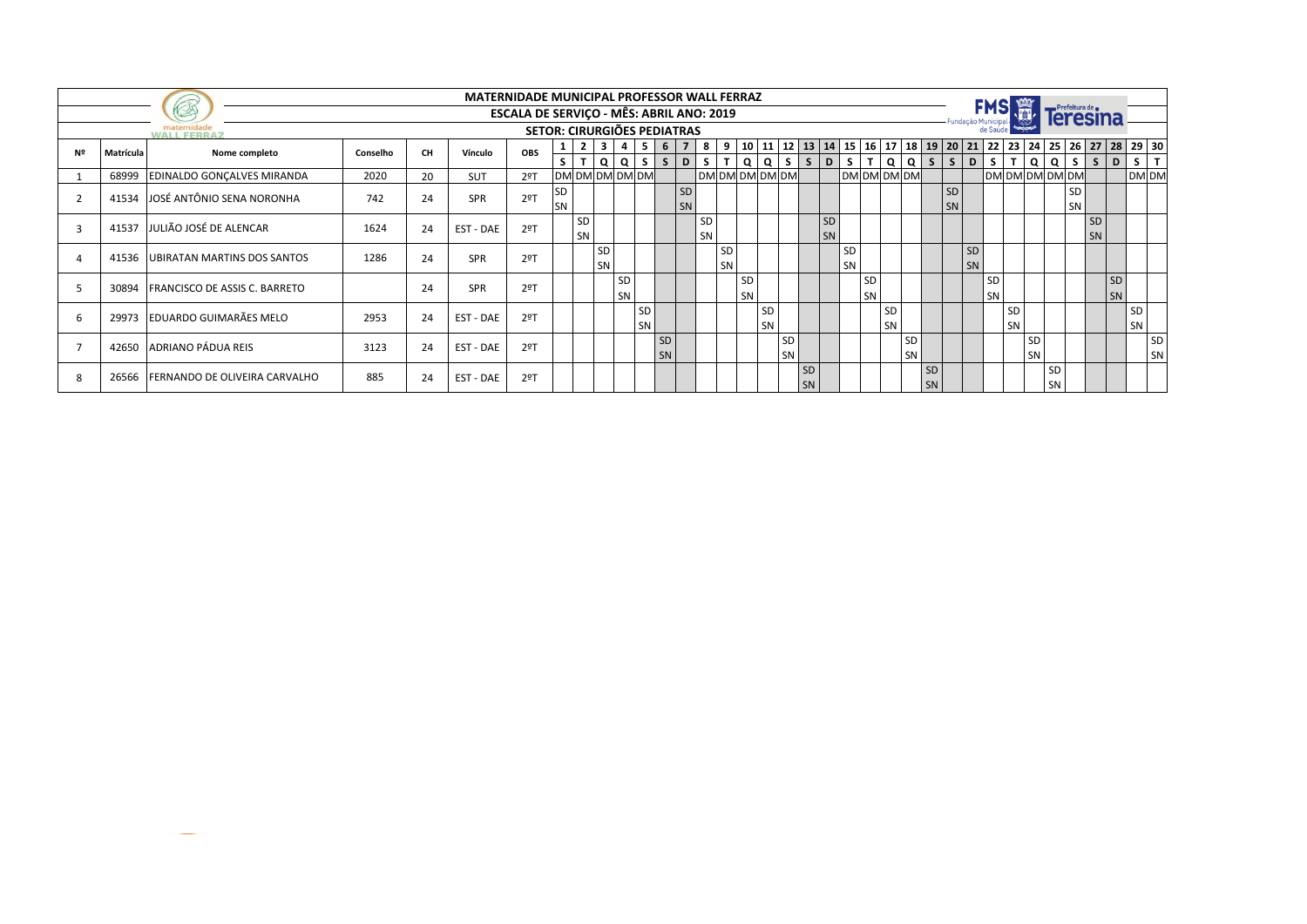|    |           |                                      |          |           | MATERNIDADE MUNICIPAL PROFESSOR WALL FERRAZ |                                          |                 |                |                 |                |                 |                   |                |                      |          |          |                 |                 |              |                 |          |              |                        |             |                 |             |                    |                       |                 |                 |                             |                 |          |                                                                                                        |              |
|----|-----------|--------------------------------------|----------|-----------|---------------------------------------------|------------------------------------------|-----------------|----------------|-----------------|----------------|-----------------|-------------------|----------------|----------------------|----------|----------|-----------------|-----------------|--------------|-----------------|----------|--------------|------------------------|-------------|-----------------|-------------|--------------------|-----------------------|-----------------|-----------------|-----------------------------|-----------------|----------|--------------------------------------------------------------------------------------------------------|--------------|
|    |           | <b>VA</b>                            |          |           |                                             | ESCALA DE SERVIÇO - MÊS: ABRIL ANO: 2019 |                 |                |                 |                |                 |                   |                |                      |          |          |                 |                 |              |                 |          |              |                        |             |                 |             | Fundação Municipal |                       |                 |                 | Prefeitura de e<br>leresina |                 |          |                                                                                                        |              |
|    |           | maternidade<br><b>WALL FERRAZ</b>    |          |           |                                             | <b>SETOR: CIRURGIÕES PEDIATRAS</b>       |                 |                |                 |                |                 |                   |                |                      |          |          |                 |                 |              |                 |          |              |                        |             |                 |             |                    |                       |                 |                 |                             |                 |          |                                                                                                        |              |
| Nº | Matrícula | Nome completo                        | Conselho | <b>CH</b> | Vínculo                                     | <b>OBS</b>                               |                 | $\overline{2}$ | $\mathbf{3}$    | $\overline{4}$ | 5               | 6                 | $\overline{7}$ | 8                    | 9        |          |                 |                 |              |                 |          |              |                        |             |                 |             |                    |                       |                 |                 |                             |                 |          | 10   11   12   13   14   15   16   17   18   19   20   21   22   23   24   25   26   27   28   29   30 |              |
|    | 68999     | <b>EDINALDO GONCALVES MIRANDA</b>    | 2020     | 20        | <b>SUT</b>                                  | $2°$ T                                   | S <sub>1</sub>  | T              | DM DM DM DM DM  | Q Q            |                 | $S \mid S \mid D$ |                | S.<br>DM DM DM DM DM | T        | Q        | Q               | S.              | $\mathsf{s}$ | D               | S.       | $\mathsf{T}$ | Q                      | DM DM DM DM |                 | $Q$ $S$ $S$ | D                  | s l<br>DM DM DM DM DM | T Q             | $\Omega$        | s l                         |                 | $S$   D  | S<br>DM DM                                                                                             | $\mathbf{T}$ |
|    |           | 41534 JOSÉ ANTÔNIO SENA NORONHA      | 742      | 24        | SPR                                         | 2 <sup>°</sup>                           | SD<br><b>SN</b> |                |                 |                |                 |                   | SD<br>SN       |                      |          |          |                 |                 |              |                 |          |              |                        |             |                 | SD<br>SN    |                    |                       |                 |                 | SD<br>SN                    |                 |          |                                                                                                        |              |
|    | 41537     | JULIÃO JOSÉ DE ALENCAR               | 1624     | 24        | EST - DAE                                   | $2°$ T                                   |                 | SD<br>SN       |                 |                |                 |                   |                | <b>SD</b><br>SN      |          |          |                 |                 |              | <b>SD</b><br>SN |          |              |                        |             |                 |             |                    |                       |                 |                 |                             | <b>SD</b><br>SN |          |                                                                                                        |              |
|    |           | 41536 UBIRATAN MARTINS DOS SANTOS    | 1286     | 24        | SPR                                         | $2°$ T                                   |                 |                | <b>SD</b><br>SN |                |                 |                   |                |                      | SD<br>SN |          |                 |                 |              |                 | SD<br>SN |              |                        |             |                 |             | SD<br>SN           |                       |                 |                 |                             |                 |          |                                                                                                        |              |
|    | 30894     | <b>FRANCISCO DE ASSIS C. BARRETO</b> |          | 24        | SPR                                         | $2°$ T                                   |                 |                |                 | SD<br>SN       |                 |                   |                |                      |          | SD<br>SN |                 |                 |              |                 |          | - SD<br>SN   |                        |             |                 |             |                    | <b>SD</b><br>SN       |                 |                 |                             |                 | SD<br>SN |                                                                                                        |              |
|    |           | 29973 EDUARDO GUIMARÃES MELO         | 2953     | 24        | EST - DAE                                   | $2°$ T                                   |                 |                |                 |                | <b>SD</b><br>SN |                   |                |                      |          |          | <b>SD</b><br>SN |                 |              |                 |          |              | <b>SD</b><br><b>SN</b> |             |                 |             |                    |                       | SD<br>SN        |                 |                             |                 |          | SD<br>SN                                                                                               |              |
|    |           | 42650 ADRIANO PÁDUA REIS             | 3123     | 24        | EST - DAE                                   | $2°$ T                                   |                 |                |                 |                |                 | <b>SD</b><br>SN   |                |                      |          |          |                 | <b>SD</b><br>SN |              |                 |          |              |                        | SD<br>SN    |                 |             |                    |                       | <b>SD</b><br>SN |                 |                             |                 |          |                                                                                                        | SD<br>SN     |
|    |           | 26566 FERNANDO DE OLIVEIRA CARVALHO  | 885      | 24        | EST - DAE                                   | $2°$ T                                   |                 |                |                 |                |                 |                   |                |                      |          |          |                 |                 | SD<br>SN     |                 |          |              |                        |             | <b>SD</b><br>SN |             |                    |                       |                 | <b>SD</b><br>SN |                             |                 |          |                                                                                                        |              |

**Contract Contract Contract**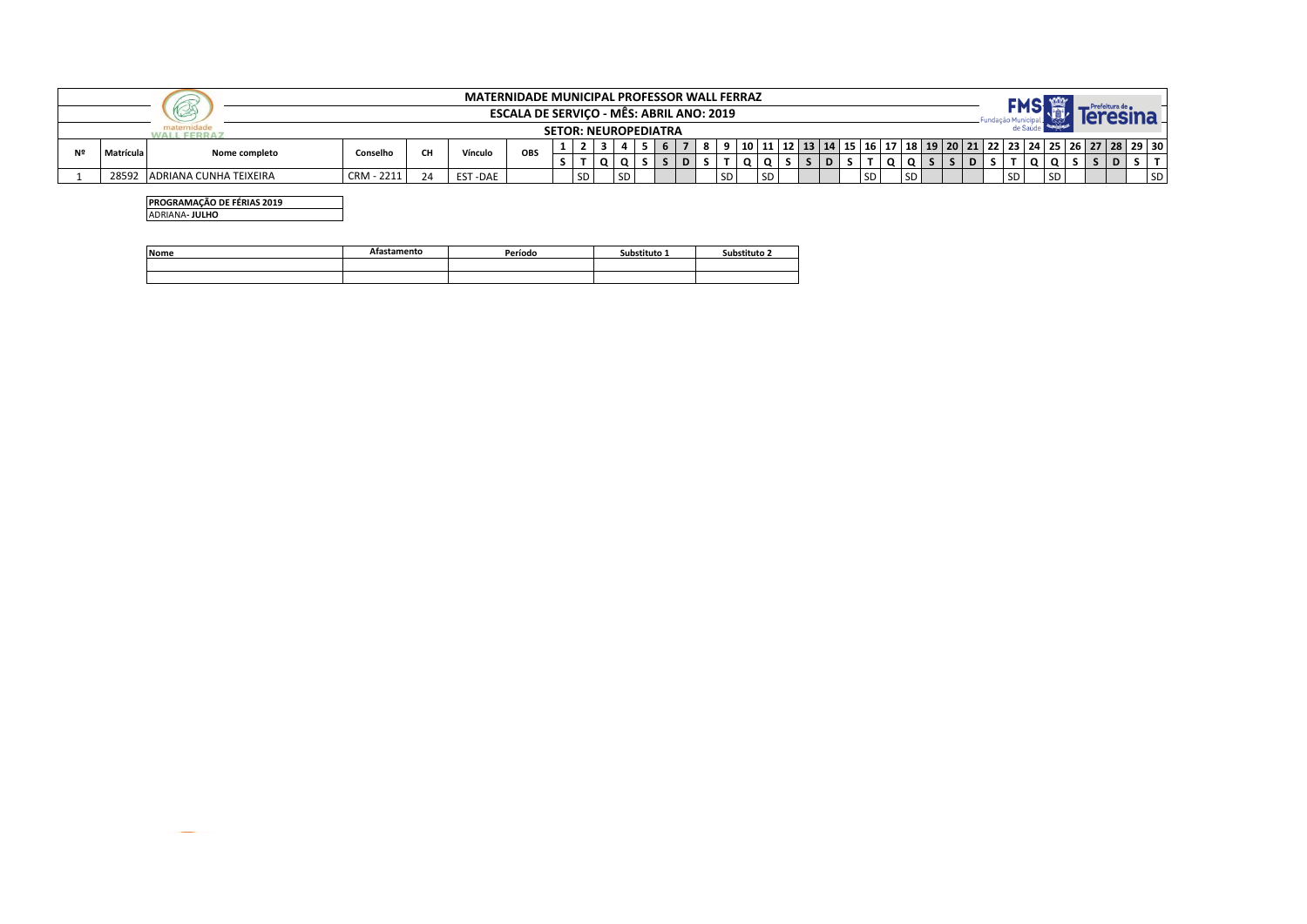|    |                                                 |                           |            |           | <b>MATERNIDADE MUNICIPAL PROFESSOR WALL FERRAZ</b> |     |  |      |  |      |  |  |   |    |  |    |  |     |                 |  |           |      |  |                                                                                                        |
|----|-------------------------------------------------|---------------------------|------------|-----------|----------------------------------------------------|-----|--|------|--|------|--|--|---|----|--|----|--|-----|-----------------|--|-----------|------|--|--------------------------------------------------------------------------------------------------------|
|    | <b>ESCALA DE SERVICO - MES: ABRIL ANO: 2019</b> |                           |            |           |                                                    |     |  |      |  |      |  |  |   |    |  |    |  |     |                 |  |           |      |  |                                                                                                        |
|    | <b>SETOR: NEUROPEDIATRA</b>                     |                           |            |           |                                                    |     |  |      |  |      |  |  |   |    |  |    |  |     |                 |  |           |      |  |                                                                                                        |
| Nº | Matrícula                                       | Nome completo             | Conselho   | <b>CH</b> | Vínculo                                            | OBS |  |      |  |      |  |  |   |    |  |    |  |     |                 |  |           |      |  | 10   11   12   13   14   15   16   17   18   19   20   21   22   23   24   25   26   27   28   29   30 |
|    |                                                 |                           |            |           |                                                    |     |  |      |  |      |  |  | D |    |  |    |  |     |                 |  |           |      |  |                                                                                                        |
|    | 28592                                           | . IADRIANA CUNHA TEIXEIRA | CRM - 2211 | 24        | <b>EST-DAE</b>                                     |     |  | I SD |  | l SD |  |  |   | SD |  | SD |  | SD. | SD <sub>3</sub> |  | <b>SD</b> | SD I |  | <b>SD</b>                                                                                              |

**PROGRAMAÇÃO DE FÉRIAS 2019** ADRIANA**- JULHO**

| <b>Nome</b> | stamento | Período | Substituto 1 | Substituto 2 |
|-------------|----------|---------|--------------|--------------|
|             |          |         |              |              |
|             |          |         |              |              |